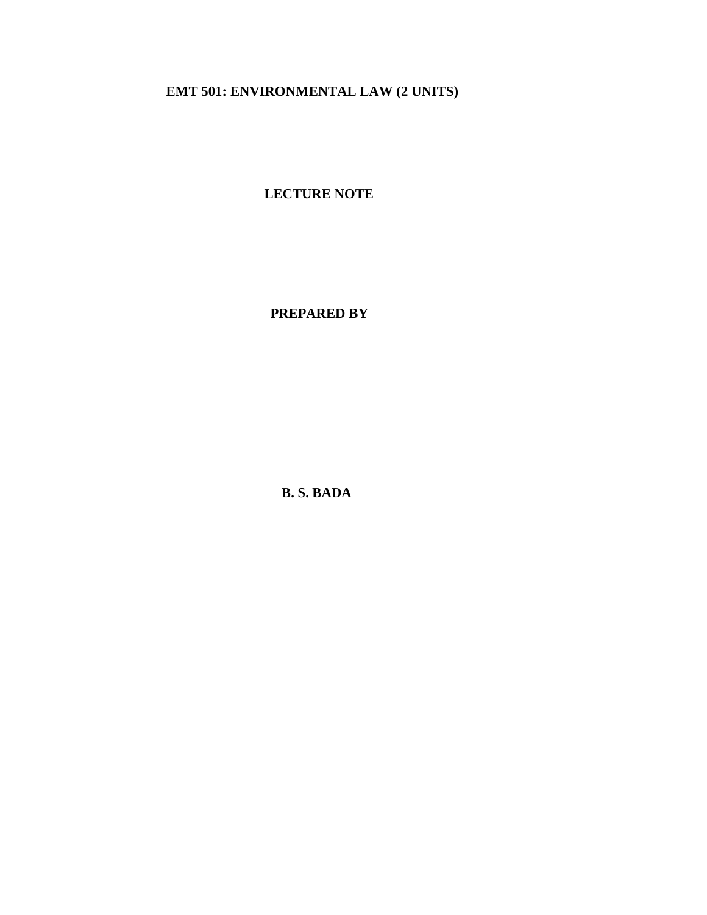**EMT 501: ENVIRONMENTAL LAW (2 UNITS)**

**LECTURE NOTE**

 **PREPARED BY**

**B. S. BADA**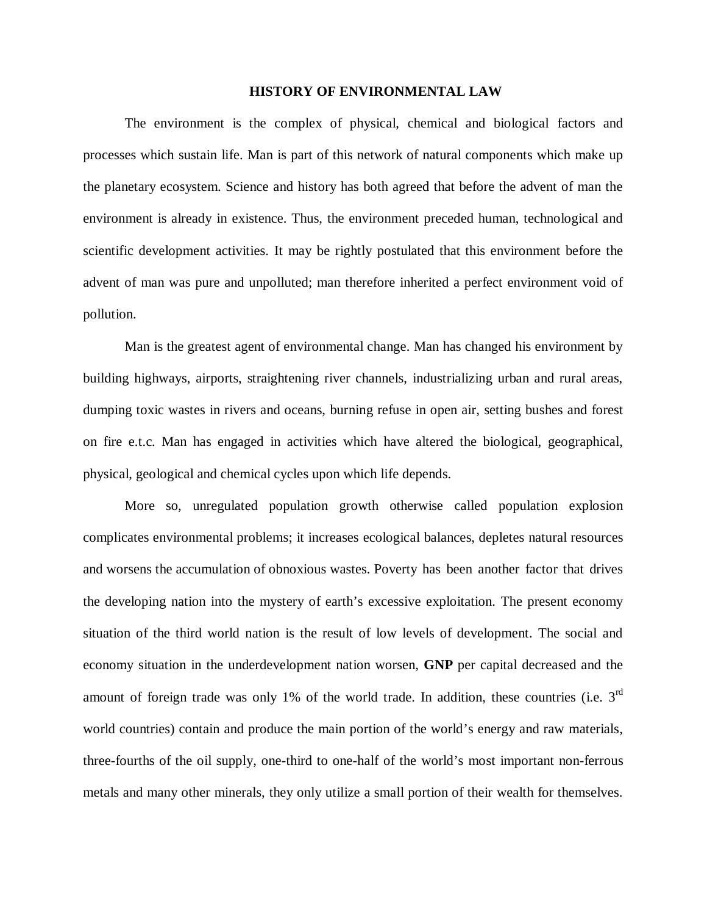#### **HISTORY OF ENVIRONMENTAL LAW**

The environment is the complex of physical, chemical and biological factors and processes which sustain life. Man is part of this network of natural components which make up the planetary ecosystem. Science and history has both agreed that before the advent of man the environment is already in existence. Thus, the environment preceded human, technological and scientific development activities. It may be rightly postulated that this environment before the advent of man was pure and unpolluted; man therefore inherited a perfect environment void of pollution.

Man is the greatest agent of environmental change. Man has changed his environment by building highways, airports, straightening river channels, industrializing urban and rural areas, dumping toxic wastes in rivers and oceans, burning refuse in open air, setting bushes and forest on fire e.t.c. Man has engaged in activities which have altered the biological, geographical, physical, geological and chemical cycles upon which life depends.

More so, unregulated population growth otherwise called population explosion complicates environmental problems; it increases ecological balances, depletes natural resources and worsens the accumulation of obnoxious wastes. Poverty has been another factor that drives the developing nation into the mystery of earth's excessive exploitation. The present economy situation of the third world nation is the result of low levels of development. The social and economy situation in the underdevelopment nation worsen, **GNP** per capital decreased and the amount of foreign trade was only 1% of the world trade. In addition, these countries (i.e.  $3<sup>rd</sup>$ world countries) contain and produce the main portion of the world's energy and raw materials, three-fourths of the oil supply, one-third to one-half of the world's most important non-ferrous metals and many other minerals, they only utilize a small portion of their wealth for themselves.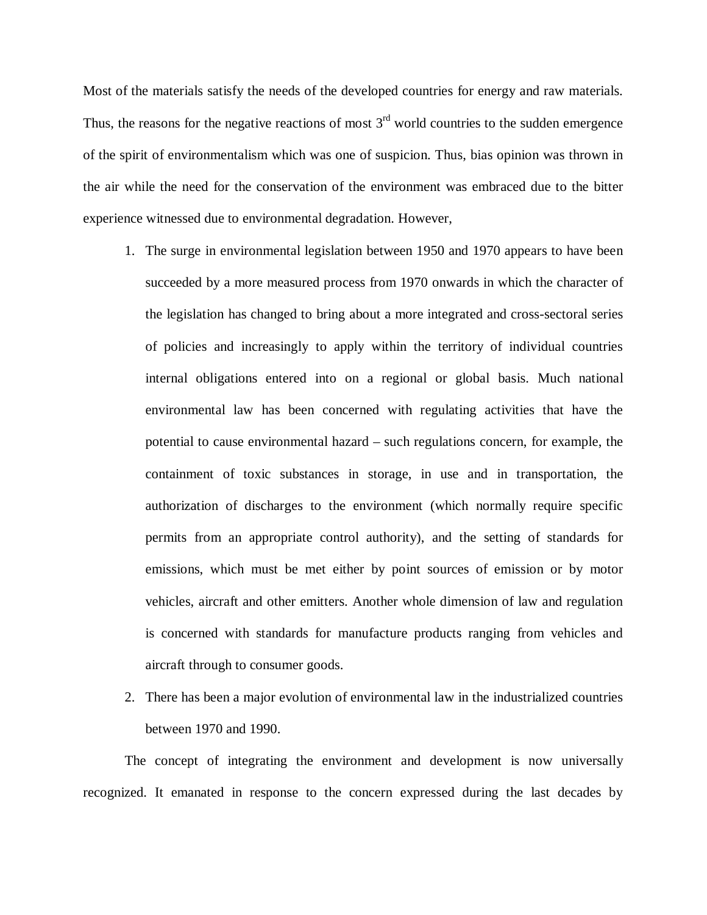Most of the materials satisfy the needs of the developed countries for energy and raw materials. Thus, the reasons for the negative reactions of most  $3<sup>rd</sup>$  world countries to the sudden emergence of the spirit of environmentalism which was one of suspicion. Thus, bias opinion was thrown in the air while the need for the conservation of the environment was embraced due to the bitter experience witnessed due to environmental degradation. However,

- 1. The surge in environmental legislation between 1950 and 1970 appears to have been succeeded by a more measured process from 1970 onwards in which the character of the legislation has changed to bring about a more integrated and cross-sectoral series of policies and increasingly to apply within the territory of individual countries internal obligations entered into on a regional or global basis. Much national environmental law has been concerned with regulating activities that have the potential to cause environmental hazard – such regulations concern, for example, the containment of toxic substances in storage, in use and in transportation, the authorization of discharges to the environment (which normally require specific permits from an appropriate control authority), and the setting of standards for emissions, which must be met either by point sources of emission or by motor vehicles, aircraft and other emitters. Another whole dimension of law and regulation is concerned with standards for manufacture products ranging from vehicles and aircraft through to consumer goods.
- 2. There has been a major evolution of environmental law in the industrialized countries between 1970 and 1990.

The concept of integrating the environment and development is now universally recognized. It emanated in response to the concern expressed during the last decades by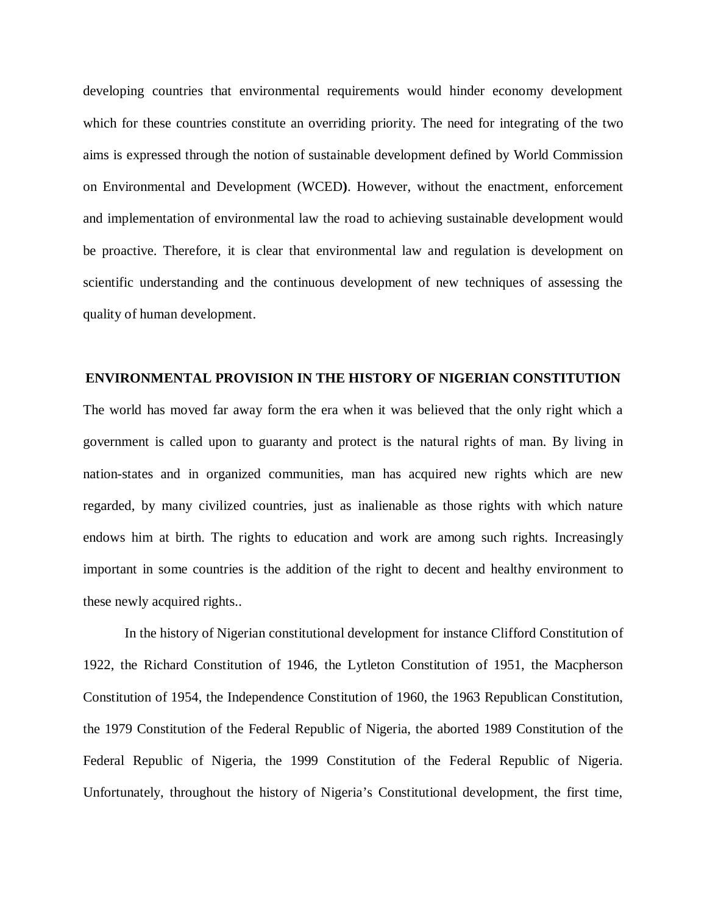developing countries that environmental requirements would hinder economy development which for these countries constitute an overriding priority. The need for integrating of the two aims is expressed through the notion of sustainable development defined by World Commission on Environmental and Development (WCED**)**. However, without the enactment, enforcement and implementation of environmental law the road to achieving sustainable development would be proactive. Therefore, it is clear that environmental law and regulation is development on scientific understanding and the continuous development of new techniques of assessing the quality of human development.

#### **ENVIRONMENTAL PROVISION IN THE HISTORY OF NIGERIAN CONSTITUTION**

The world has moved far away form the era when it was believed that the only right which a government is called upon to guaranty and protect is the natural rights of man. By living in nation-states and in organized communities, man has acquired new rights which are new regarded, by many civilized countries, just as inalienable as those rights with which nature endows him at birth. The rights to education and work are among such rights. Increasingly important in some countries is the addition of the right to decent and healthy environment to these newly acquired rights..

In the history of Nigerian constitutional development for instance Clifford Constitution of 1922, the Richard Constitution of 1946, the Lytleton Constitution of 1951, the Macpherson Constitution of 1954, the Independence Constitution of 1960, the 1963 Republican Constitution, the 1979 Constitution of the Federal Republic of Nigeria, the aborted 1989 Constitution of the Federal Republic of Nigeria, the 1999 Constitution of the Federal Republic of Nigeria. Unfortunately, throughout the history of Nigeria's Constitutional development, the first time,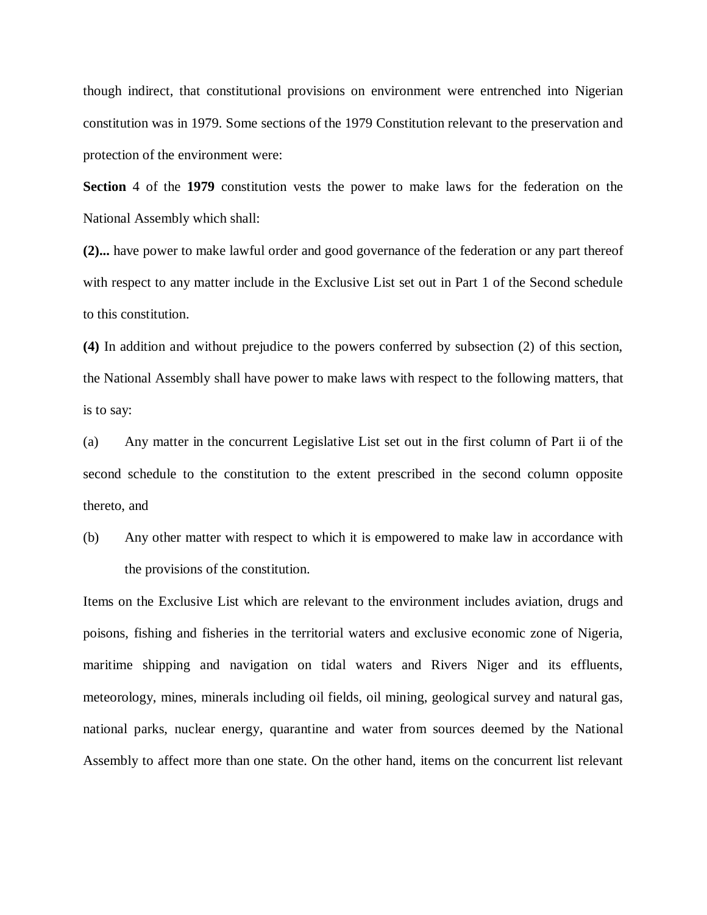though indirect, that constitutional provisions on environment were entrenched into Nigerian constitution was in 1979. Some sections of the 1979 Constitution relevant to the preservation and protection of the environment were:

**Section** 4 of the **1979** constitution vests the power to make laws for the federation on the National Assembly which shall:

**(2)...** have power to make lawful order and good governance of the federation or any part thereof with respect to any matter include in the Exclusive List set out in Part 1 of the Second schedule to this constitution.

**(4)** In addition and without prejudice to the powers conferred by subsection (2) of this section, the National Assembly shall have power to make laws with respect to the following matters, that is to say:

(a) Any matter in the concurrent Legislative List set out in the first column of Part ii of the second schedule to the constitution to the extent prescribed in the second column opposite thereto, and

(b) Any other matter with respect to which it is empowered to make law in accordance with the provisions of the constitution.

Items on the Exclusive List which are relevant to the environment includes aviation, drugs and poisons, fishing and fisheries in the territorial waters and exclusive economic zone of Nigeria, maritime shipping and navigation on tidal waters and Rivers Niger and its effluents, meteorology, mines, minerals including oil fields, oil mining, geological survey and natural gas, national parks, nuclear energy, quarantine and water from sources deemed by the National Assembly to affect more than one state. On the other hand, items on the concurrent list relevant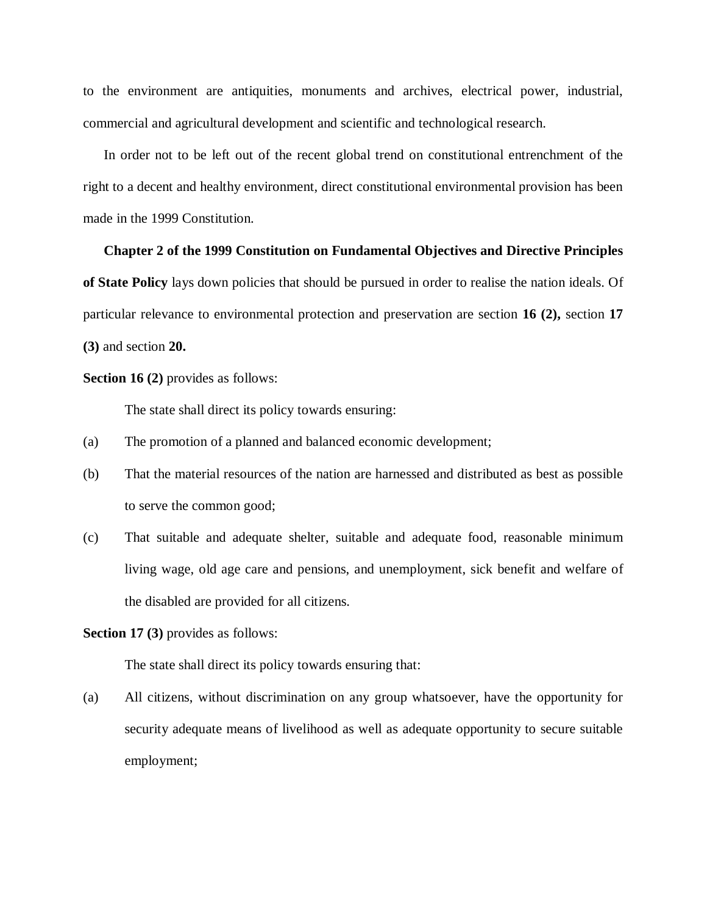to the environment are antiquities, monuments and archives, electrical power, industrial, commercial and agricultural development and scientific and technological research.

In order not to be left out of the recent global trend on constitutional entrenchment of the right to a decent and healthy environment, direct constitutional environmental provision has been made in the 1999 Constitution.

#### **Chapter 2 of the 1999 Constitution on Fundamental Objectives and Directive Principles**

**of State Policy** lays down policies that should be pursued in order to realise the nation ideals. Of particular relevance to environmental protection and preservation are section **16 (2),** section **17 (3)** and section **20.**

**Section 16 (2)** provides as follows:

The state shall direct its policy towards ensuring:

- (a) The promotion of a planned and balanced economic development;
- (b) That the material resources of the nation are harnessed and distributed as best as possible to serve the common good;
- (c) That suitable and adequate shelter, suitable and adequate food, reasonable minimum living wage, old age care and pensions, and unemployment, sick benefit and welfare of the disabled are provided for all citizens.

**Section 17 (3)** provides as follows:

The state shall direct its policy towards ensuring that:

(a) All citizens, without discrimination on any group whatsoever, have the opportunity for security adequate means of livelihood as well as adequate opportunity to secure suitable employment;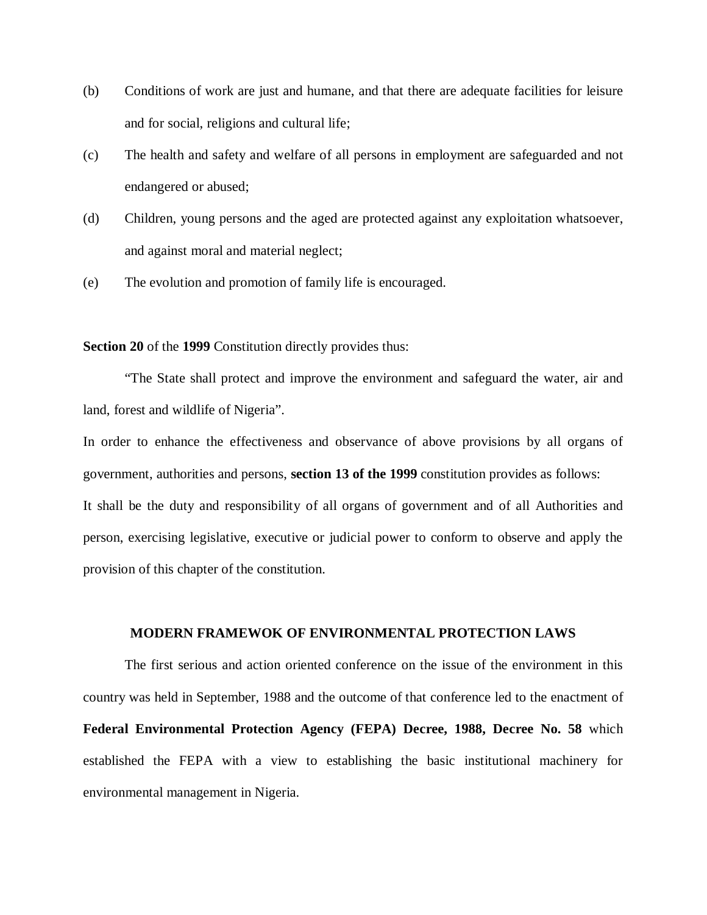- (b) Conditions of work are just and humane, and that there are adequate facilities for leisure and for social, religions and cultural life;
- (c) The health and safety and welfare of all persons in employment are safeguarded and not endangered or abused;
- (d) Children, young persons and the aged are protected against any exploitation whatsoever, and against moral and material neglect;
- (e) The evolution and promotion of family life is encouraged.

#### **Section 20** of the **1999** Constitution directly provides thus:

"The State shall protect and improve the environment and safeguard the water, air and land, forest and wildlife of Nigeria".

In order to enhance the effectiveness and observance of above provisions by all organs of government, authorities and persons, **section 13 of the 1999** constitution provides as follows: It shall be the duty and responsibility of all organs of government and of all Authorities and person, exercising legislative, executive or judicial power to conform to observe and apply the provision of this chapter of the constitution.

#### **MODERN FRAMEWOK OF ENVIRONMENTAL PROTECTION LAWS**

The first serious and action oriented conference on the issue of the environment in this country was held in September, 1988 and the outcome of that conference led to the enactment of **Federal Environmental Protection Agency (FEPA) Decree, 1988, Decree No. 58** which established the FEPA with a view to establishing the basic institutional machinery for environmental management in Nigeria.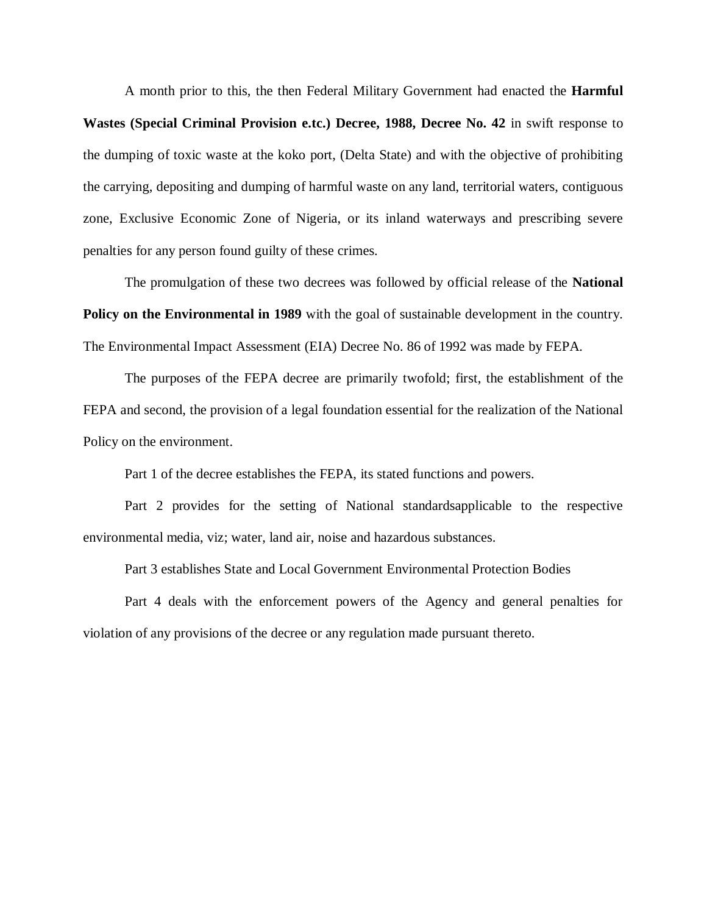A month prior to this, the then Federal Military Government had enacted the **Harmful Wastes (Special Criminal Provision e.tc.) Decree, 1988, Decree No. 42** in swift response to the dumping of toxic waste at the koko port, (Delta State) and with the objective of prohibiting the carrying, depositing and dumping of harmful waste on any land, territorial waters, contiguous zone, Exclusive Economic Zone of Nigeria, or its inland waterways and prescribing severe penalties for any person found guilty of these crimes.

The promulgation of these two decrees was followed by official release of the **National Policy on the Environmental in 1989** with the goal of sustainable development in the country. The Environmental Impact Assessment (EIA) Decree No. 86 of 1992 was made by FEPA.

The purposes of the FEPA decree are primarily twofold; first, the establishment of the FEPA and second, the provision of a legal foundation essential for the realization of the National Policy on the environment.

Part 1 of the decree establishes the FEPA, its stated functions and powers.

Part 2 provides for the setting of National standardsapplicable to the respective environmental media, viz; water, land air, noise and hazardous substances.

Part 3 establishes State and Local Government Environmental Protection Bodies

Part 4 deals with the enforcement powers of the Agency and general penalties for violation of any provisions of the decree or any regulation made pursuant thereto.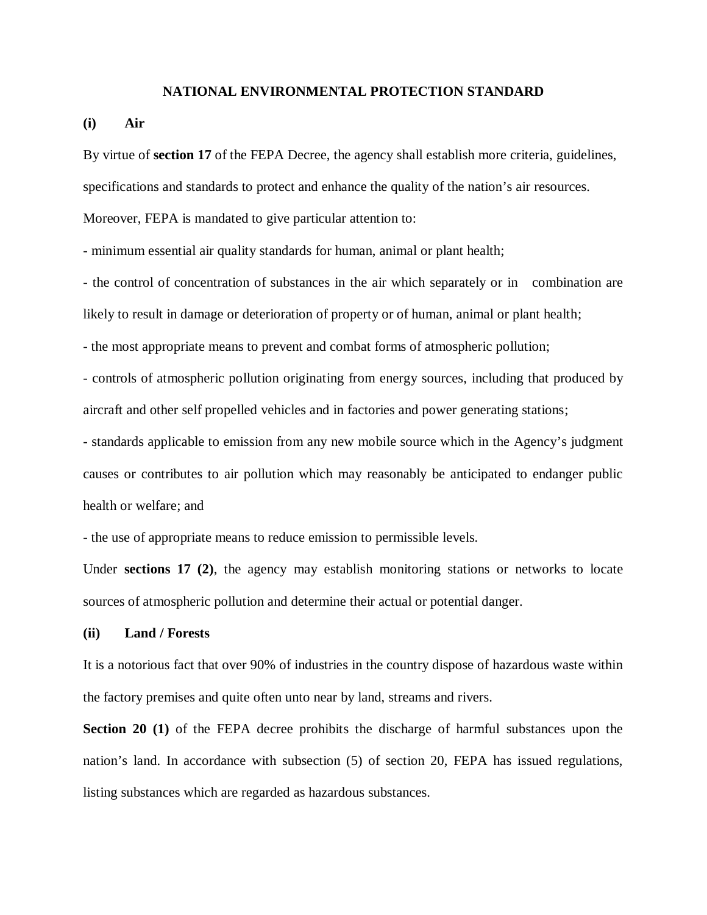#### **NATIONAL ENVIRONMENTAL PROTECTION STANDARD**

#### **(i) Air**

By virtue of **section 17** of the FEPA Decree, the agency shall establish more criteria, guidelines,

specifications and standards to protect and enhance the quality of the nation's air resources.

Moreover, FEPA is mandated to give particular attention to:

- minimum essential air quality standards for human, animal or plant health;

- the control of concentration of substances in the air which separately or in combination are likely to result in damage or deterioration of property or of human, animal or plant health;

- the most appropriate means to prevent and combat forms of atmospheric pollution;

- controls of atmospheric pollution originating from energy sources, including that produced by aircraft and other self propelled vehicles and in factories and power generating stations;

- standards applicable to emission from any new mobile source which in the Agency's judgment causes or contributes to air pollution which may reasonably be anticipated to endanger public health or welfare; and

- the use of appropriate means to reduce emission to permissible levels.

Under **sections 17 (2)**, the agency may establish monitoring stations or networks to locate sources of atmospheric pollution and determine their actual or potential danger.

#### **(ii) Land / Forests**

It is a notorious fact that over 90% of industries in the country dispose of hazardous waste within the factory premises and quite often unto near by land, streams and rivers.

**Section 20 (1)** of the FEPA decree prohibits the discharge of harmful substances upon the nation's land. In accordance with subsection (5) of section 20, FEPA has issued regulations, listing substances which are regarded as hazardous substances.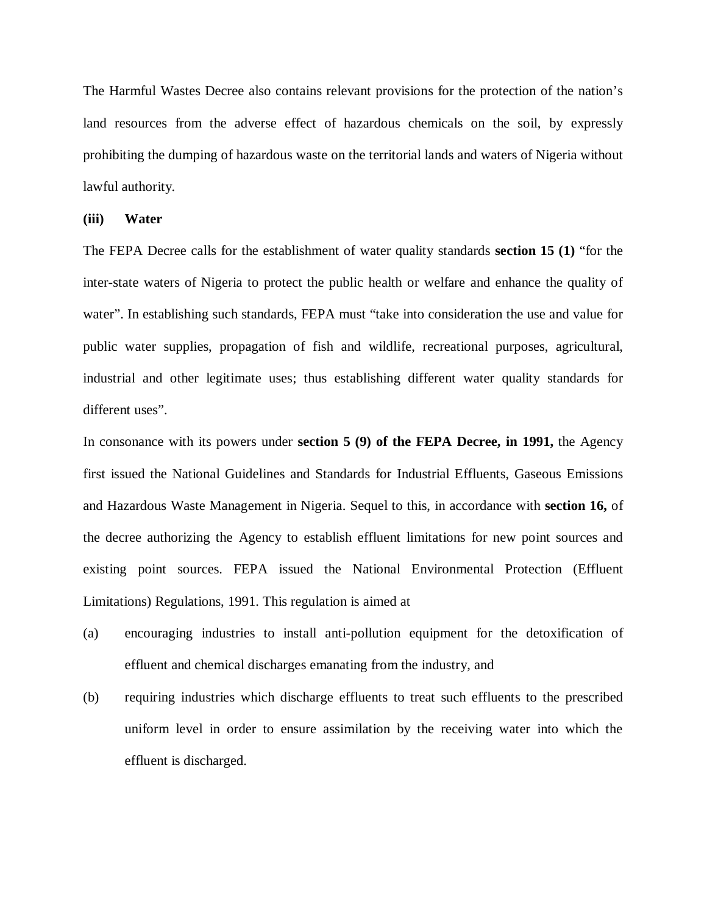The Harmful Wastes Decree also contains relevant provisions for the protection of the nation's land resources from the adverse effect of hazardous chemicals on the soil, by expressly prohibiting the dumping of hazardous waste on the territorial lands and waters of Nigeria without lawful authority.

#### **(iii) Water**

The FEPA Decree calls for the establishment of water quality standards **section 15 (1)** "for the inter-state waters of Nigeria to protect the public health or welfare and enhance the quality of water". In establishing such standards, FEPA must "take into consideration the use and value for public water supplies, propagation of fish and wildlife, recreational purposes, agricultural, industrial and other legitimate uses; thus establishing different water quality standards for different uses".

In consonance with its powers under **section 5 (9) of the FEPA Decree, in 1991,** the Agency first issued the National Guidelines and Standards for Industrial Effluents, Gaseous Emissions and Hazardous Waste Management in Nigeria. Sequel to this, in accordance with **section 16,** of the decree authorizing the Agency to establish effluent limitations for new point sources and existing point sources. FEPA issued the National Environmental Protection (Effluent Limitations) Regulations, 1991. This regulation is aimed at

- (a) encouraging industries to install anti-pollution equipment for the detoxification of effluent and chemical discharges emanating from the industry, and
- (b) requiring industries which discharge effluents to treat such effluents to the prescribed uniform level in order to ensure assimilation by the receiving water into which the effluent is discharged.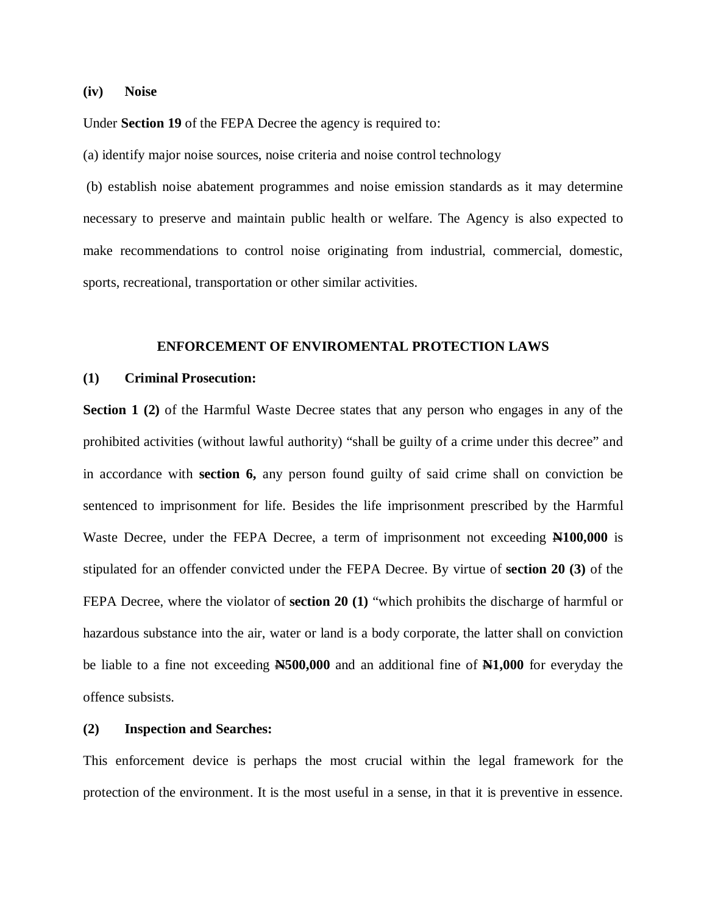**(iv) Noise**

Under **Section 19** of the FEPA Decree the agency is required to:

(a) identify major noise sources, noise criteria and noise control technology

(b) establish noise abatement programmes and noise emission standards as it may determine necessary to preserve and maintain public health or welfare. The Agency is also expected to make recommendations to control noise originating from industrial, commercial, domestic, sports, recreational, transportation or other similar activities.

#### **ENFORCEMENT OF ENVIROMENTAL PROTECTION LAWS**

#### **(1) Criminal Prosecution:**

**Section 1 (2)** of the Harmful Waste Decree states that any person who engages in any of the prohibited activities (without lawful authority) "shall be guilty of a crime under this decree" and in accordance with **section 6,** any person found guilty of said crime shall on conviction be sentenced to imprisonment for life. Besides the life imprisonment prescribed by the Harmful Waste Decree, under the FEPA Decree, a term of imprisonment not exceeding **N100,000** is stipulated for an offender convicted under the FEPA Decree. By virtue of **section 20 (3)** of the FEPA Decree, where the violator of **section 20 (1)** "which prohibits the discharge of harmful or hazardous substance into the air, water or land is a body corporate, the latter shall on conviction be liable to a fine not exceeding **N500,000** and an additional fine of **N1,000** for everyday the offence subsists.

#### **(2) Inspection and Searches:**

This enforcement device is perhaps the most crucial within the legal framework for the protection of the environment. It is the most useful in a sense, in that it is preventive in essence.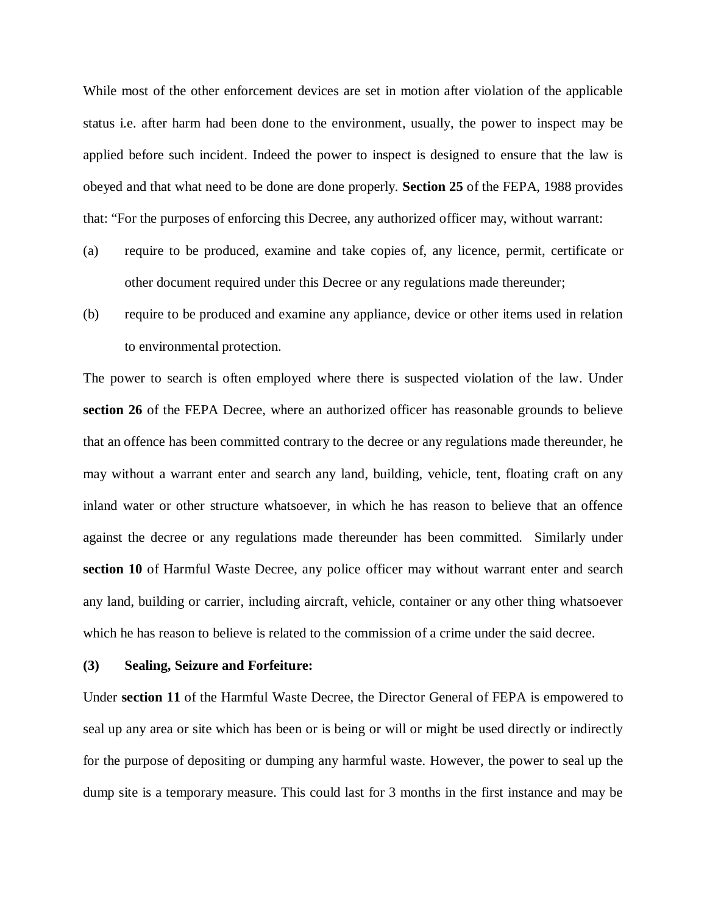While most of the other enforcement devices are set in motion after violation of the applicable status i.e. after harm had been done to the environment, usually, the power to inspect may be applied before such incident. Indeed the power to inspect is designed to ensure that the law is obeyed and that what need to be done are done properly. **Section 25** of the FEPA, 1988 provides that: "For the purposes of enforcing this Decree, any authorized officer may, without warrant:

- (a) require to be produced, examine and take copies of, any licence, permit, certificate or other document required under this Decree or any regulations made thereunder;
- (b) require to be produced and examine any appliance, device or other items used in relation to environmental protection.

The power to search is often employed where there is suspected violation of the law. Under **section 26** of the FEPA Decree, where an authorized officer has reasonable grounds to believe that an offence has been committed contrary to the decree or any regulations made thereunder, he may without a warrant enter and search any land, building, vehicle, tent, floating craft on any inland water or other structure whatsoever, in which he has reason to believe that an offence against the decree or any regulations made thereunder has been committed. Similarly under **section 10** of Harmful Waste Decree, any police officer may without warrant enter and search any land, building or carrier, including aircraft, vehicle, container or any other thing whatsoever which he has reason to believe is related to the commission of a crime under the said decree.

#### **(3) Sealing, Seizure and Forfeiture:**

Under **section 11** of the Harmful Waste Decree, the Director General of FEPA is empowered to seal up any area or site which has been or is being or will or might be used directly or indirectly for the purpose of depositing or dumping any harmful waste. However, the power to seal up the dump site is a temporary measure. This could last for 3 months in the first instance and may be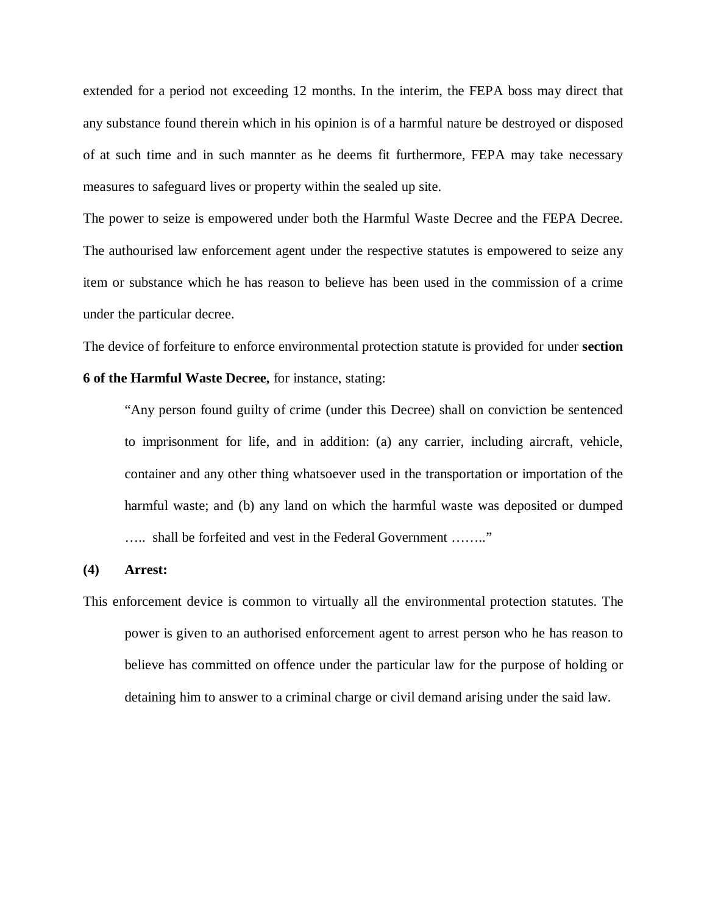extended for a period not exceeding 12 months. In the interim, the FEPA boss may direct that any substance found therein which in his opinion is of a harmful nature be destroyed or disposed of at such time and in such mannter as he deems fit furthermore, FEPA may take necessary measures to safeguard lives or property within the sealed up site.

The power to seize is empowered under both the Harmful Waste Decree and the FEPA Decree. The authourised law enforcement agent under the respective statutes is empowered to seize any item or substance which he has reason to believe has been used in the commission of a crime under the particular decree.

The device of forfeiture to enforce environmental protection statute is provided for under **section 6 of the Harmful Waste Decree,** for instance, stating:

"Any person found guilty of crime (under this Decree) shall on conviction be sentenced to imprisonment for life, and in addition: (a) any carrier, including aircraft, vehicle, container and any other thing whatsoever used in the transportation or importation of the harmful waste; and (b) any land on which the harmful waste was deposited or dumped ….. shall be forfeited and vest in the Federal Government …….."

#### **(4) Arrest:**

This enforcement device is common to virtually all the environmental protection statutes. The power is given to an authorised enforcement agent to arrest person who he has reason to believe has committed on offence under the particular law for the purpose of holding or detaining him to answer to a criminal charge or civil demand arising under the said law.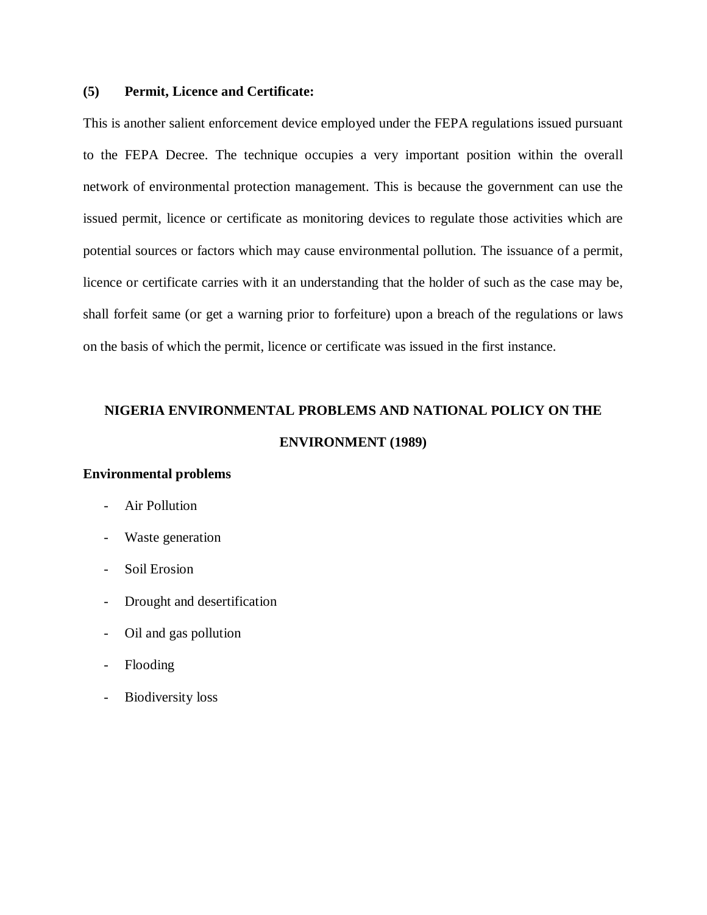## **(5) Permit, Licence and Certificate:**

This is another salient enforcement device employed under the FEPA regulations issued pursuant to the FEPA Decree. The technique occupies a very important position within the overall network of environmental protection management. This is because the government can use the issued permit, licence or certificate as monitoring devices to regulate those activities which are potential sources or factors which may cause environmental pollution. The issuance of a permit, licence or certificate carries with it an understanding that the holder of such as the case may be, shall forfeit same (or get a warning prior to forfeiture) upon a breach of the regulations or laws on the basis of which the permit, licence or certificate was issued in the first instance.

# **NIGERIA ENVIRONMENTAL PROBLEMS AND NATIONAL POLICY ON THE ENVIRONMENT (1989)**

#### **Environmental problems**

- Air Pollution
- Waste generation
- Soil Erosion
- Drought and desertification
- Oil and gas pollution
- Flooding
- Biodiversity loss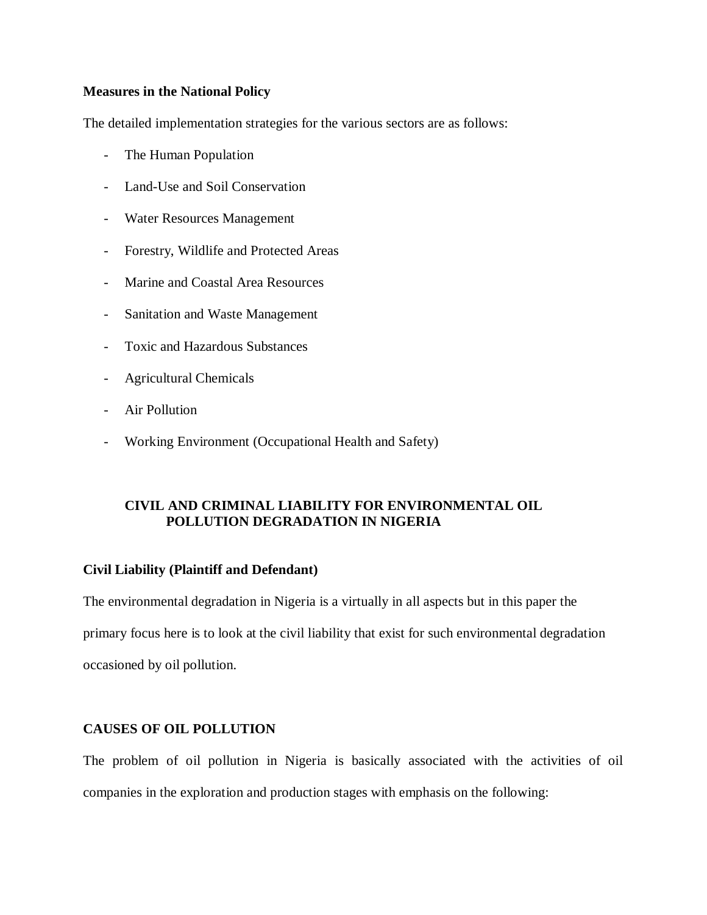## **Measures in the National Policy**

The detailed implementation strategies for the various sectors are as follows:

- The Human Population
- Land-Use and Soil Conservation
- Water Resources Management
- Forestry, Wildlife and Protected Areas
- Marine and Coastal Area Resources
- Sanitation and Waste Management
- Toxic and Hazardous Substances
- Agricultural Chemicals
- Air Pollution
- Working Environment (Occupational Health and Safety)

## **CIVIL AND CRIMINAL LIABILITY FOR ENVIRONMENTAL OIL POLLUTION DEGRADATION IN NIGERIA**

#### **Civil Liability (Plaintiff and Defendant)**

The environmental degradation in Nigeria is a virtually in all aspects but in this paper the primary focus here is to look at the civil liability that exist for such environmental degradation occasioned by oil pollution.

## **CAUSES OF OIL POLLUTION**

The problem of oil pollution in Nigeria is basically associated with the activities of oil companies in the exploration and production stages with emphasis on the following: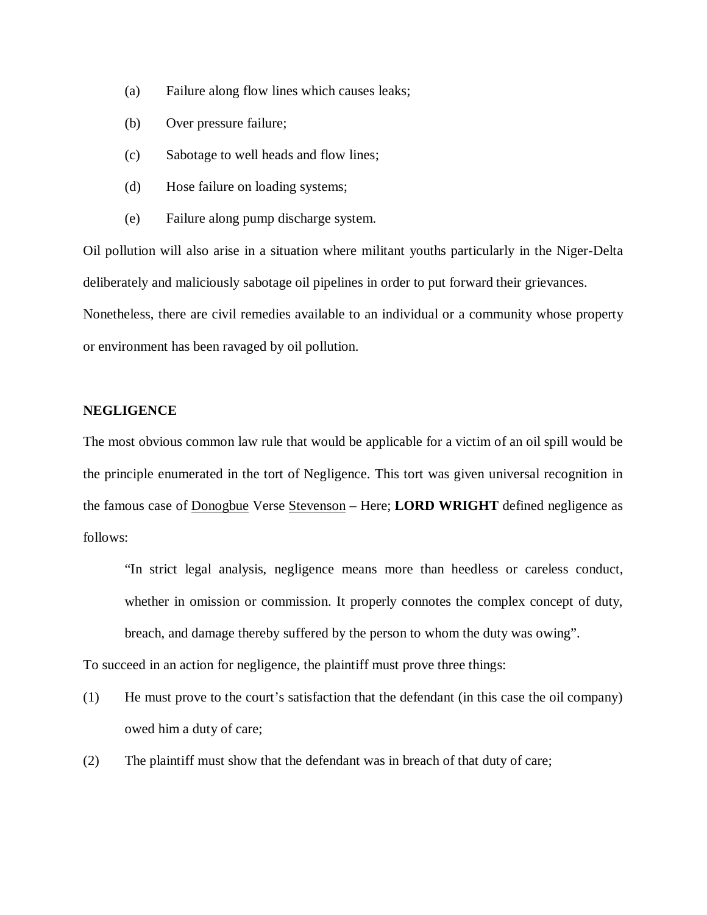- (a) Failure along flow lines which causes leaks;
- (b) Over pressure failure;
- (c) Sabotage to well heads and flow lines;
- (d) Hose failure on loading systems;
- (e) Failure along pump discharge system.

Oil pollution will also arise in a situation where militant youths particularly in the Niger-Delta deliberately and maliciously sabotage oil pipelines in order to put forward their grievances. Nonetheless, there are civil remedies available to an individual or a community whose property or environment has been ravaged by oil pollution.

## **NEGLIGENCE**

The most obvious common law rule that would be applicable for a victim of an oil spill would be the principle enumerated in the tort of Negligence. This tort was given universal recognition in the famous case of Donogbue Verse Stevenson – Here; **LORD WRIGHT** defined negligence as follows:

"In strict legal analysis, negligence means more than heedless or careless conduct, whether in omission or commission. It properly connotes the complex concept of duty, breach, and damage thereby suffered by the person to whom the duty was owing".

To succeed in an action for negligence, the plaintiff must prove three things:

- (1) He must prove to the court's satisfaction that the defendant (in this case the oil company) owed him a duty of care;
- (2) The plaintiff must show that the defendant was in breach of that duty of care;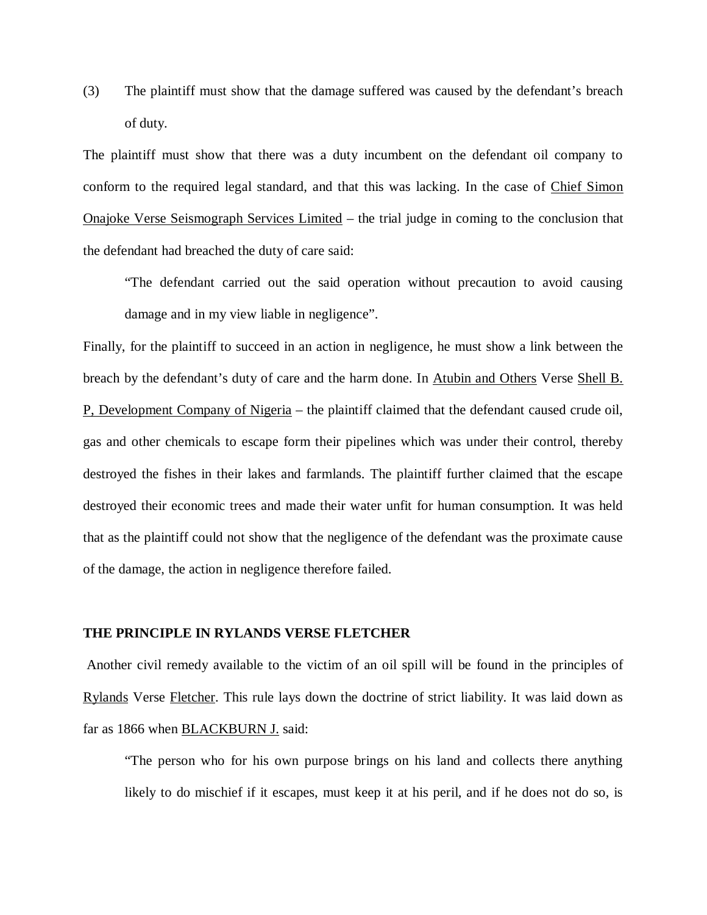(3) The plaintiff must show that the damage suffered was caused by the defendant's breach of duty.

The plaintiff must show that there was a duty incumbent on the defendant oil company to conform to the required legal standard, and that this was lacking. In the case of Chief Simon Onajoke Verse Seismograph Services Limited – the trial judge in coming to the conclusion that the defendant had breached the duty of care said:

"The defendant carried out the said operation without precaution to avoid causing damage and in my view liable in negligence".

Finally, for the plaintiff to succeed in an action in negligence, he must show a link between the breach by the defendant's duty of care and the harm done. In Atubin and Others Verse Shell B. P, Development Company of Nigeria – the plaintiff claimed that the defendant caused crude oil, gas and other chemicals to escape form their pipelines which was under their control, thereby destroyed the fishes in their lakes and farmlands. The plaintiff further claimed that the escape destroyed their economic trees and made their water unfit for human consumption. It was held that as the plaintiff could not show that the negligence of the defendant was the proximate cause of the damage, the action in negligence therefore failed.

#### **THE PRINCIPLE IN RYLANDS VERSE FLETCHER**

Another civil remedy available to the victim of an oil spill will be found in the principles of Rylands Verse Fletcher. This rule lays down the doctrine of strict liability. It was laid down as far as 1866 when BLACKBURN J. said:

"The person who for his own purpose brings on his land and collects there anything likely to do mischief if it escapes, must keep it at his peril, and if he does not do so, is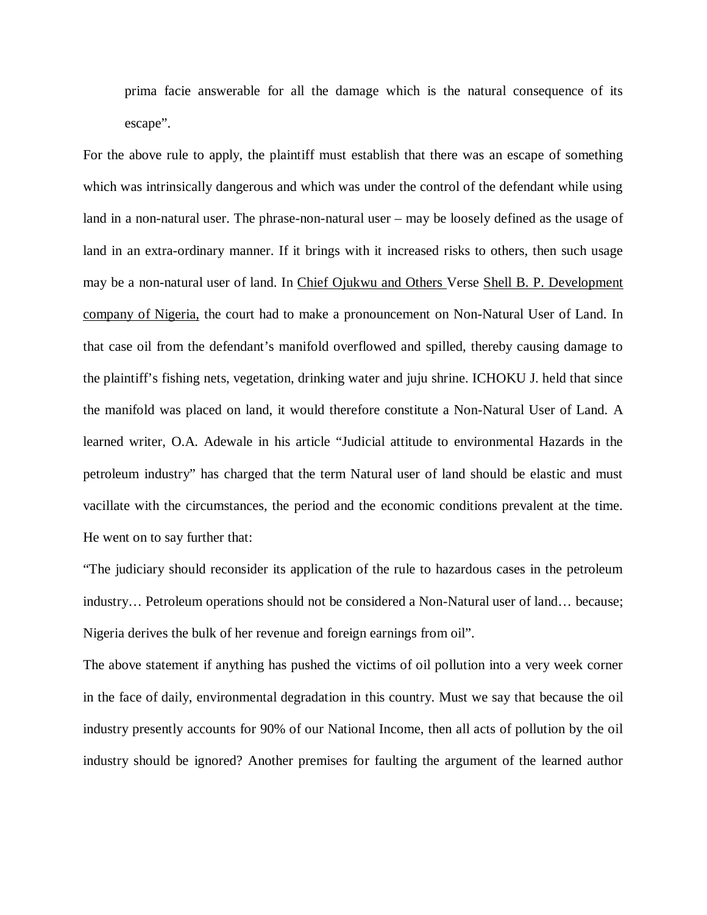prima facie answerable for all the damage which is the natural consequence of its escape".

For the above rule to apply, the plaintiff must establish that there was an escape of something which was intrinsically dangerous and which was under the control of the defendant while using land in a non-natural user. The phrase-non-natural user – may be loosely defined as the usage of land in an extra-ordinary manner. If it brings with it increased risks to others, then such usage may be a non-natural user of land. In Chief Ojukwu and Others Verse Shell B. P. Development company of Nigeria, the court had to make a pronouncement on Non-Natural User of Land. In that case oil from the defendant's manifold overflowed and spilled, thereby causing damage to the plaintiff's fishing nets, vegetation, drinking water and juju shrine. ICHOKU J. held that since the manifold was placed on land, it would therefore constitute a Non-Natural User of Land. A learned writer, O.A. Adewale in his article "Judicial attitude to environmental Hazards in the petroleum industry" has charged that the term Natural user of land should be elastic and must vacillate with the circumstances, the period and the economic conditions prevalent at the time. He went on to say further that:

"The judiciary should reconsider its application of the rule to hazardous cases in the petroleum industry… Petroleum operations should not be considered a Non-Natural user of land… because; Nigeria derives the bulk of her revenue and foreign earnings from oil".

The above statement if anything has pushed the victims of oil pollution into a very week corner in the face of daily, environmental degradation in this country. Must we say that because the oil industry presently accounts for 90% of our National Income, then all acts of pollution by the oil industry should be ignored? Another premises for faulting the argument of the learned author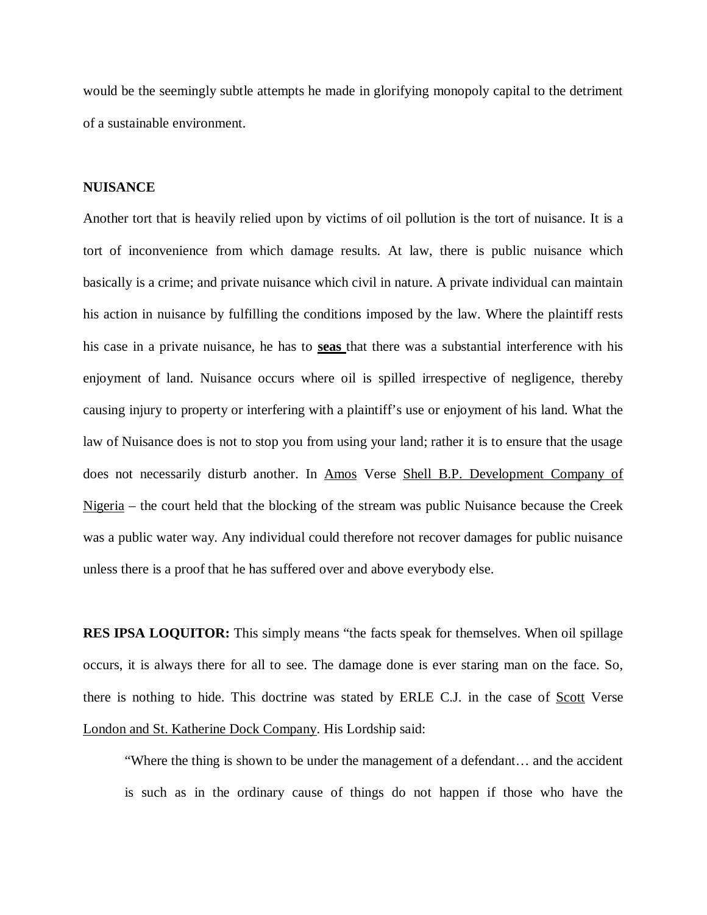would be the seemingly subtle attempts he made in glorifying monopoly capital to the detriment of a sustainable environment.

#### **NUISANCE**

Another tort that is heavily relied upon by victims of oil pollution is the tort of nuisance. It is a tort of inconvenience from which damage results. At law, there is public nuisance which basically is a crime; and private nuisance which civil in nature. A private individual can maintain his action in nuisance by fulfilling the conditions imposed by the law. Where the plaintiff rests his case in a private nuisance, he has to **seas** that there was a substantial interference with his enjoyment of land. Nuisance occurs where oil is spilled irrespective of negligence, thereby causing injury to property or interfering with a plaintiff's use or enjoyment of his land. What the law of Nuisance does is not to stop you from using your land; rather it is to ensure that the usage does not necessarily disturb another. In Amos Verse Shell B.P. Development Company of Nigeria – the court held that the blocking of the stream was public Nuisance because the Creek was a public water way. Any individual could therefore not recover damages for public nuisance unless there is a proof that he has suffered over and above everybody else.

**RES IPSA LOQUITOR:** This simply means "the facts speak for themselves. When oil spillage occurs, it is always there for all to see. The damage done is ever staring man on the face. So, there is nothing to hide. This doctrine was stated by ERLE C.J. in the case of Scott Verse London and St. Katherine Dock Company. His Lordship said:

"Where the thing is shown to be under the management of a defendant… and the accident is such as in the ordinary cause of things do not happen if those who have the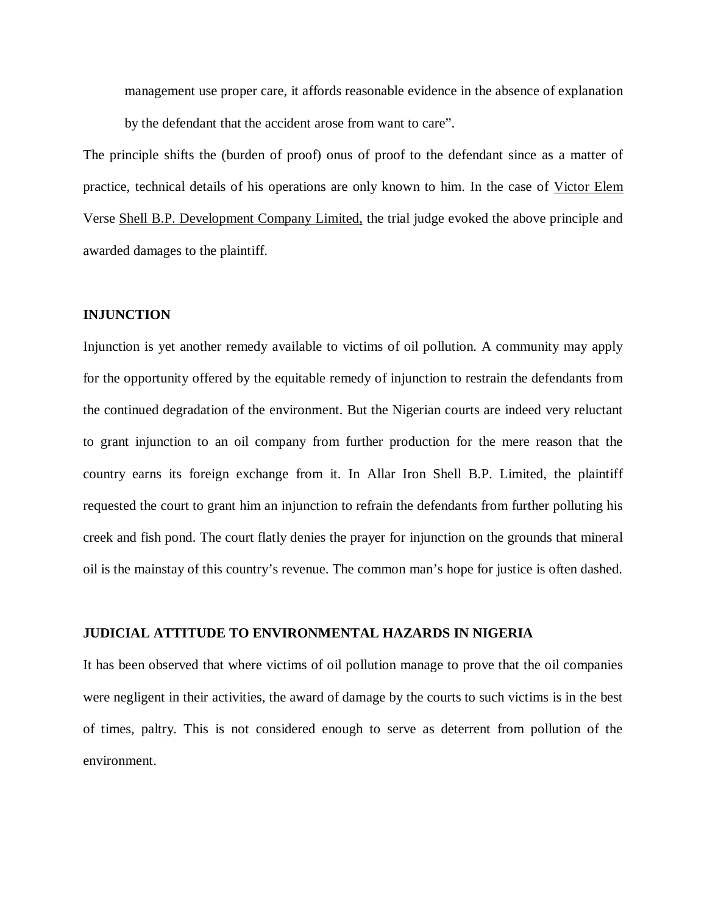management use proper care, it affords reasonable evidence in the absence of explanation by the defendant that the accident arose from want to care".

The principle shifts the (burden of proof) onus of proof to the defendant since as a matter of practice, technical details of his operations are only known to him. In the case of Victor Elem Verse Shell B.P. Development Company Limited, the trial judge evoked the above principle and awarded damages to the plaintiff.

#### **INJUNCTION**

Injunction is yet another remedy available to victims of oil pollution. A community may apply for the opportunity offered by the equitable remedy of injunction to restrain the defendants from the continued degradation of the environment. But the Nigerian courts are indeed very reluctant to grant injunction to an oil company from further production for the mere reason that the country earns its foreign exchange from it. In Allar Iron Shell B.P. Limited, the plaintiff requested the court to grant him an injunction to refrain the defendants from further polluting his creek and fish pond. The court flatly denies the prayer for injunction on the grounds that mineral oil is the mainstay of this country's revenue. The common man's hope for justice is often dashed.

#### **JUDICIAL ATTITUDE TO ENVIRONMENTAL HAZARDS IN NIGERIA**

It has been observed that where victims of oil pollution manage to prove that the oil companies were negligent in their activities, the award of damage by the courts to such victims is in the best of times, paltry. This is not considered enough to serve as deterrent from pollution of the environment.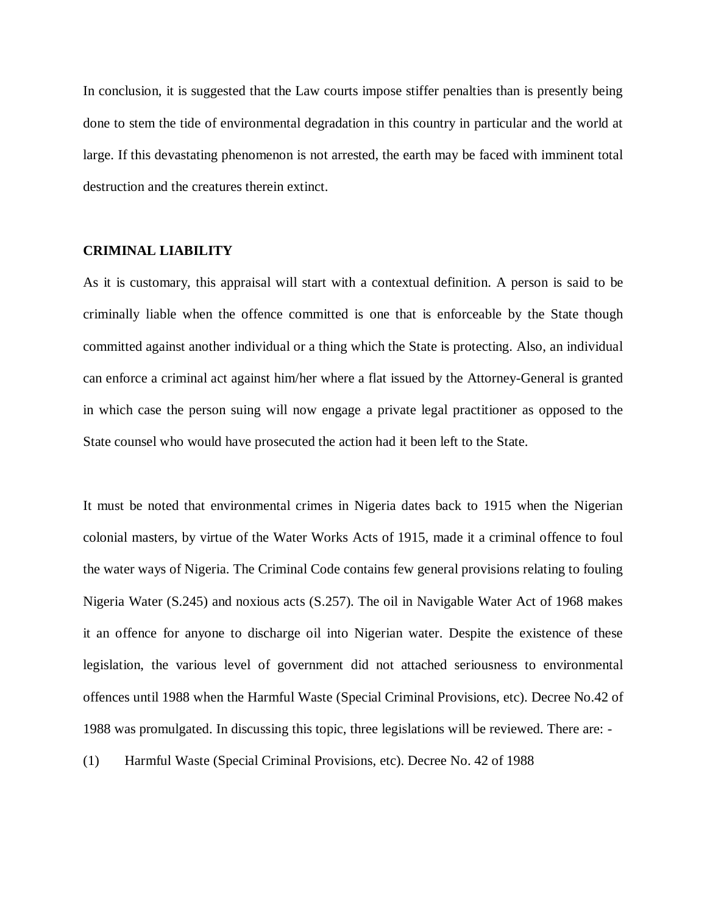In conclusion, it is suggested that the Law courts impose stiffer penalties than is presently being done to stem the tide of environmental degradation in this country in particular and the world at large. If this devastating phenomenon is not arrested, the earth may be faced with imminent total destruction and the creatures therein extinct.

#### **CRIMINAL LIABILITY**

As it is customary, this appraisal will start with a contextual definition. A person is said to be criminally liable when the offence committed is one that is enforceable by the State though committed against another individual or a thing which the State is protecting. Also, an individual can enforce a criminal act against him/her where a flat issued by the Attorney-General is granted in which case the person suing will now engage a private legal practitioner as opposed to the State counsel who would have prosecuted the action had it been left to the State.

It must be noted that environmental crimes in Nigeria dates back to 1915 when the Nigerian colonial masters, by virtue of the Water Works Acts of 1915, made it a criminal offence to foul the water ways of Nigeria. The Criminal Code contains few general provisions relating to fouling Nigeria Water (S.245) and noxious acts (S.257). The oil in Navigable Water Act of 1968 makes it an offence for anyone to discharge oil into Nigerian water. Despite the existence of these legislation, the various level of government did not attached seriousness to environmental offences until 1988 when the Harmful Waste (Special Criminal Provisions, etc). Decree No.42 of 1988 was promulgated. In discussing this topic, three legislations will be reviewed. There are: -

(1) Harmful Waste (Special Criminal Provisions, etc). Decree No. 42 of 1988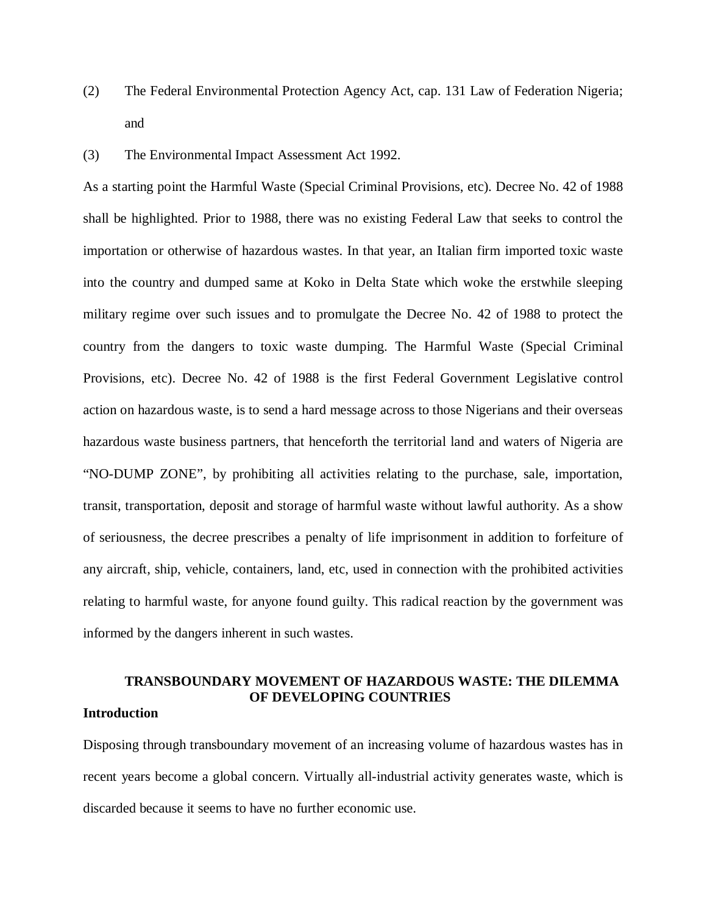- (2) The Federal Environmental Protection Agency Act, cap. 131 Law of Federation Nigeria; and
- (3) The Environmental Impact Assessment Act 1992.

As a starting point the Harmful Waste (Special Criminal Provisions, etc). Decree No. 42 of 1988 shall be highlighted. Prior to 1988, there was no existing Federal Law that seeks to control the importation or otherwise of hazardous wastes. In that year, an Italian firm imported toxic waste into the country and dumped same at Koko in Delta State which woke the erstwhile sleeping military regime over such issues and to promulgate the Decree No. 42 of 1988 to protect the country from the dangers to toxic waste dumping. The Harmful Waste (Special Criminal Provisions, etc). Decree No. 42 of 1988 is the first Federal Government Legislative control action on hazardous waste, is to send a hard message across to those Nigerians and their overseas hazardous waste business partners, that henceforth the territorial land and waters of Nigeria are "NO-DUMP ZONE", by prohibiting all activities relating to the purchase, sale, importation, transit, transportation, deposit and storage of harmful waste without lawful authority. As a show of seriousness, the decree prescribes a penalty of life imprisonment in addition to forfeiture of any aircraft, ship, vehicle, containers, land, etc, used in connection with the prohibited activities relating to harmful waste, for anyone found guilty. This radical reaction by the government was informed by the dangers inherent in such wastes.

## **TRANSBOUNDARY MOVEMENT OF HAZARDOUS WASTE: THE DILEMMA OF DEVELOPING COUNTRIES**

## **Introduction**

Disposing through transboundary movement of an increasing volume of hazardous wastes has in recent years become a global concern. Virtually all-industrial activity generates waste, which is discarded because it seems to have no further economic use.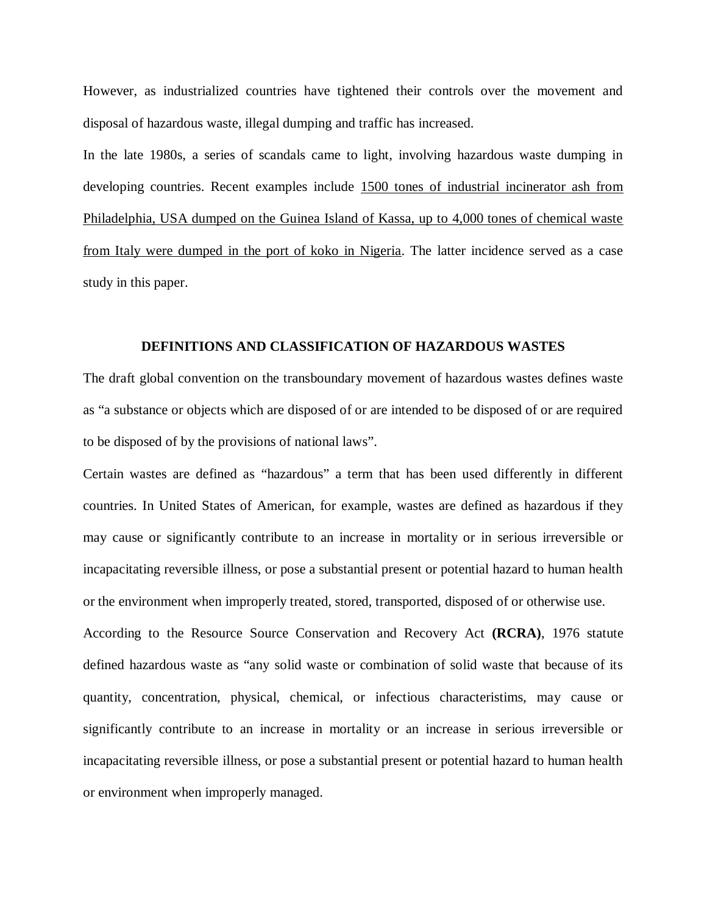However, as industrialized countries have tightened their controls over the movement and disposal of hazardous waste, illegal dumping and traffic has increased.

In the late 1980s, a series of scandals came to light, involving hazardous waste dumping in developing countries. Recent examples include 1500 tones of industrial incinerator ash from Philadelphia, USA dumped on the Guinea Island of Kassa, up to 4,000 tones of chemical waste from Italy were dumped in the port of koko in Nigeria. The latter incidence served as a case study in this paper.

## **DEFINITIONS AND CLASSIFICATION OF HAZARDOUS WASTES**

The draft global convention on the transboundary movement of hazardous wastes defines waste as "a substance or objects which are disposed of or are intended to be disposed of or are required to be disposed of by the provisions of national laws".

Certain wastes are defined as "hazardous" a term that has been used differently in different countries. In United States of American, for example, wastes are defined as hazardous if they may cause or significantly contribute to an increase in mortality or in serious irreversible or incapacitating reversible illness, or pose a substantial present or potential hazard to human health or the environment when improperly treated, stored, transported, disposed of or otherwise use.

According to the Resource Source Conservation and Recovery Act **(RCRA)**, 1976 statute defined hazardous waste as "any solid waste or combination of solid waste that because of its quantity, concentration, physical, chemical, or infectious characteristims, may cause or significantly contribute to an increase in mortality or an increase in serious irreversible or incapacitating reversible illness, or pose a substantial present or potential hazard to human health or environment when improperly managed.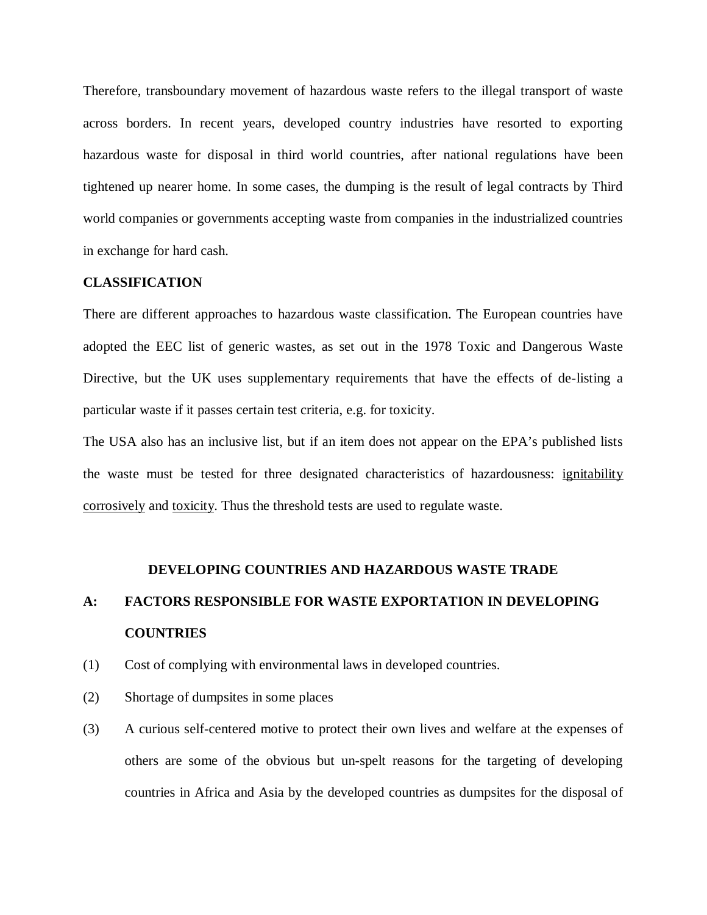Therefore, transboundary movement of hazardous waste refers to the illegal transport of waste across borders. In recent years, developed country industries have resorted to exporting hazardous waste for disposal in third world countries, after national regulations have been tightened up nearer home. In some cases, the dumping is the result of legal contracts by Third world companies or governments accepting waste from companies in the industrialized countries in exchange for hard cash.

#### **CLASSIFICATION**

There are different approaches to hazardous waste classification. The European countries have adopted the EEC list of generic wastes, as set out in the 1978 Toxic and Dangerous Waste Directive, but the UK uses supplementary requirements that have the effects of de-listing a particular waste if it passes certain test criteria, e.g. for toxicity.

The USA also has an inclusive list, but if an item does not appear on the EPA's published lists the waste must be tested for three designated characteristics of hazardousness: ignitability corrosively and toxicity. Thus the threshold tests are used to regulate waste.

#### **DEVELOPING COUNTRIES AND HAZARDOUS WASTE TRADE**

# **A: FACTORS RESPONSIBLE FOR WASTE EXPORTATION IN DEVELOPING COUNTRIES**

- (1) Cost of complying with environmental laws in developed countries.
- (2) Shortage of dumpsites in some places
- (3) A curious self-centered motive to protect their own lives and welfare at the expenses of others are some of the obvious but un-spelt reasons for the targeting of developing countries in Africa and Asia by the developed countries as dumpsites for the disposal of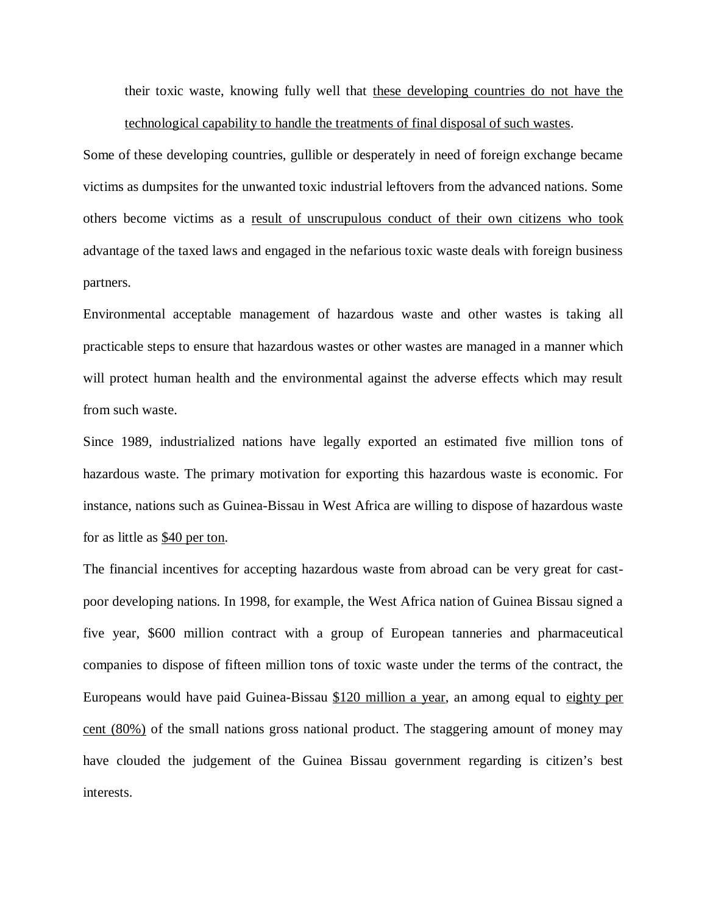their toxic waste, knowing fully well that these developing countries do not have the technological capability to handle the treatments of final disposal of such wastes.

Some of these developing countries, gullible or desperately in need of foreign exchange became victims as dumpsites for the unwanted toxic industrial leftovers from the advanced nations. Some others become victims as a result of unscrupulous conduct of their own citizens who took advantage of the taxed laws and engaged in the nefarious toxic waste deals with foreign business partners.

Environmental acceptable management of hazardous waste and other wastes is taking all practicable steps to ensure that hazardous wastes or other wastes are managed in a manner which will protect human health and the environmental against the adverse effects which may result from such waste.

Since 1989, industrialized nations have legally exported an estimated five million tons of hazardous waste. The primary motivation for exporting this hazardous waste is economic. For instance, nations such as Guinea-Bissau in West Africa are willing to dispose of hazardous waste for as little as \$40 per ton.

The financial incentives for accepting hazardous waste from abroad can be very great for castpoor developing nations. In 1998, for example, the West Africa nation of Guinea Bissau signed a five year, \$600 million contract with a group of European tanneries and pharmaceutical companies to dispose of fifteen million tons of toxic waste under the terms of the contract, the Europeans would have paid Guinea-Bissau \$120 million a year, an among equal to eighty per cent (80%) of the small nations gross national product. The staggering amount of money may have clouded the judgement of the Guinea Bissau government regarding is citizen's best interests.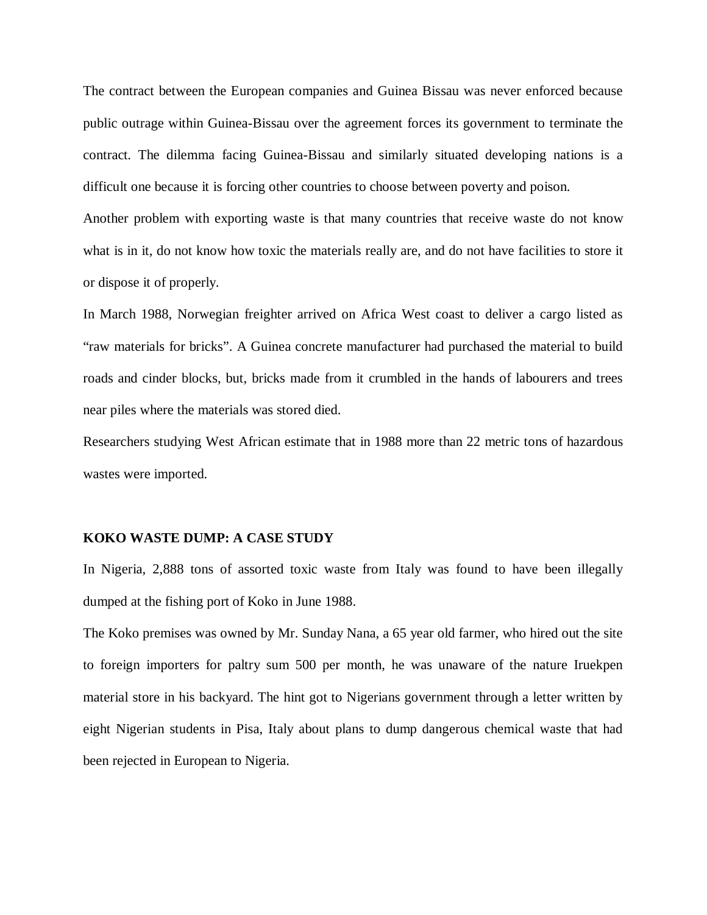The contract between the European companies and Guinea Bissau was never enforced because public outrage within Guinea-Bissau over the agreement forces its government to terminate the contract. The dilemma facing Guinea-Bissau and similarly situated developing nations is a difficult one because it is forcing other countries to choose between poverty and poison.

Another problem with exporting waste is that many countries that receive waste do not know what is in it, do not know how toxic the materials really are, and do not have facilities to store it or dispose it of properly.

In March 1988, Norwegian freighter arrived on Africa West coast to deliver a cargo listed as "raw materials for bricks". A Guinea concrete manufacturer had purchased the material to build roads and cinder blocks, but, bricks made from it crumbled in the hands of labourers and trees near piles where the materials was stored died.

Researchers studying West African estimate that in 1988 more than 22 metric tons of hazardous wastes were imported.

#### **KOKO WASTE DUMP: A CASE STUDY**

In Nigeria, 2,888 tons of assorted toxic waste from Italy was found to have been illegally dumped at the fishing port of Koko in June 1988.

The Koko premises was owned by Mr. Sunday Nana, a 65 year old farmer, who hired out the site to foreign importers for paltry sum 500 per month, he was unaware of the nature Iruekpen material store in his backyard. The hint got to Nigerians government through a letter written by eight Nigerian students in Pisa, Italy about plans to dump dangerous chemical waste that had been rejected in European to Nigeria.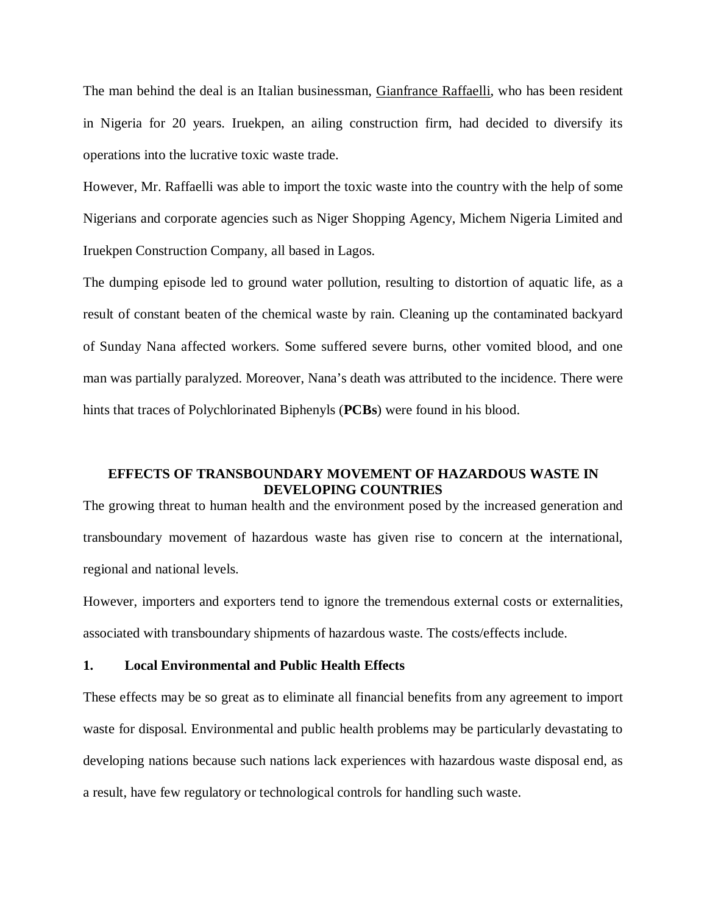The man behind the deal is an Italian businessman, Gianfrance Raffaelli, who has been resident in Nigeria for 20 years. Iruekpen, an ailing construction firm, had decided to diversify its operations into the lucrative toxic waste trade.

However, Mr. Raffaelli was able to import the toxic waste into the country with the help of some Nigerians and corporate agencies such as Niger Shopping Agency, Michem Nigeria Limited and Iruekpen Construction Company, all based in Lagos.

The dumping episode led to ground water pollution, resulting to distortion of aquatic life, as a result of constant beaten of the chemical waste by rain. Cleaning up the contaminated backyard of Sunday Nana affected workers. Some suffered severe burns, other vomited blood, and one man was partially paralyzed. Moreover, Nana's death was attributed to the incidence. There were hints that traces of Polychlorinated Biphenyls (**PCBs**) were found in his blood.

## **EFFECTS OF TRANSBOUNDARY MOVEMENT OF HAZARDOUS WASTE IN DEVELOPING COUNTRIES**

The growing threat to human health and the environment posed by the increased generation and transboundary movement of hazardous waste has given rise to concern at the international, regional and national levels.

However, importers and exporters tend to ignore the tremendous external costs or externalities, associated with transboundary shipments of hazardous waste. The costs/effects include.

#### **1. Local Environmental and Public Health Effects**

These effects may be so great as to eliminate all financial benefits from any agreement to import waste for disposal. Environmental and public health problems may be particularly devastating to developing nations because such nations lack experiences with hazardous waste disposal end, as a result, have few regulatory or technological controls for handling such waste.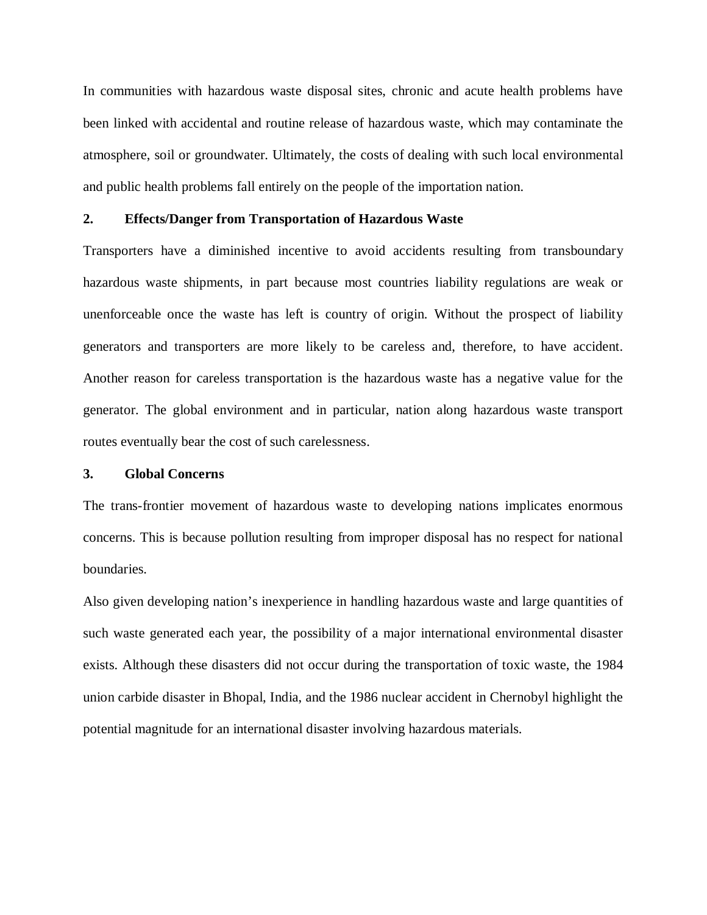In communities with hazardous waste disposal sites, chronic and acute health problems have been linked with accidental and routine release of hazardous waste, which may contaminate the atmosphere, soil or groundwater. Ultimately, the costs of dealing with such local environmental and public health problems fall entirely on the people of the importation nation.

#### **2. Effects/Danger from Transportation of Hazardous Waste**

Transporters have a diminished incentive to avoid accidents resulting from transboundary hazardous waste shipments, in part because most countries liability regulations are weak or unenforceable once the waste has left is country of origin. Without the prospect of liability generators and transporters are more likely to be careless and, therefore, to have accident. Another reason for careless transportation is the hazardous waste has a negative value for the generator. The global environment and in particular, nation along hazardous waste transport routes eventually bear the cost of such carelessness.

#### **3. Global Concerns**

The trans-frontier movement of hazardous waste to developing nations implicates enormous concerns. This is because pollution resulting from improper disposal has no respect for national boundaries.

Also given developing nation's inexperience in handling hazardous waste and large quantities of such waste generated each year, the possibility of a major international environmental disaster exists. Although these disasters did not occur during the transportation of toxic waste, the 1984 union carbide disaster in Bhopal, India, and the 1986 nuclear accident in Chernobyl highlight the potential magnitude for an international disaster involving hazardous materials.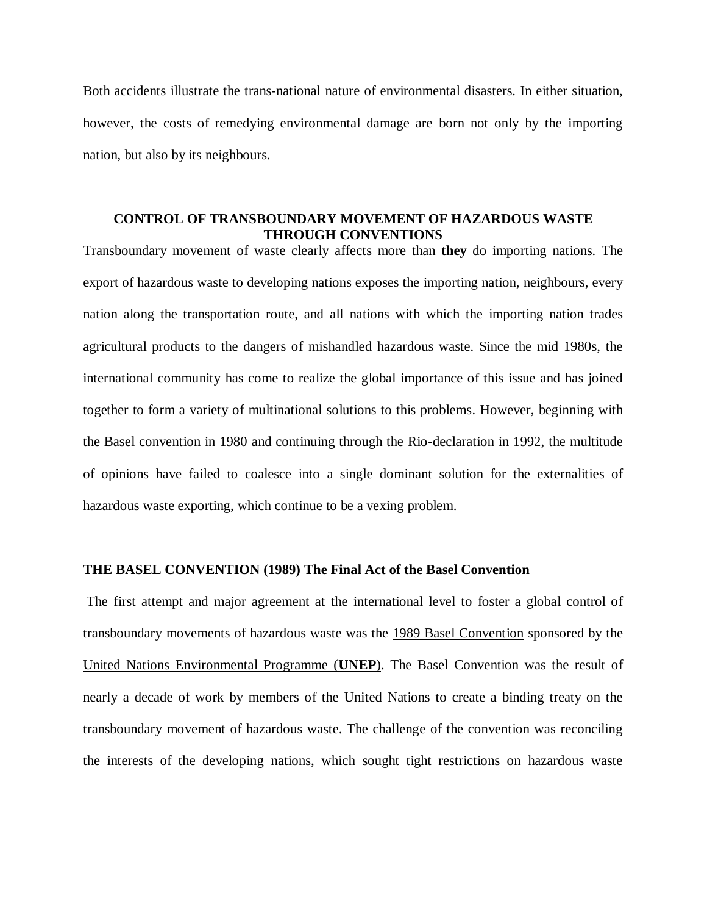Both accidents illustrate the trans-national nature of environmental disasters. In either situation, however, the costs of remedying environmental damage are born not only by the importing nation, but also by its neighbours.

## **CONTROL OF TRANSBOUNDARY MOVEMENT OF HAZARDOUS WASTE THROUGH CONVENTIONS**

Transboundary movement of waste clearly affects more than **they** do importing nations. The export of hazardous waste to developing nations exposes the importing nation, neighbours, every nation along the transportation route, and all nations with which the importing nation trades agricultural products to the dangers of mishandled hazardous waste. Since the mid 1980s, the international community has come to realize the global importance of this issue and has joined together to form a variety of multinational solutions to this problems. However, beginning with the Basel convention in 1980 and continuing through the Rio-declaration in 1992, the multitude of opinions have failed to coalesce into a single dominant solution for the externalities of hazardous waste exporting, which continue to be a vexing problem.

#### **THE BASEL CONVENTION (1989) The Final Act of the Basel Convention**

The first attempt and major agreement at the international level to foster a global control of transboundary movements of hazardous waste was the 1989 Basel Convention sponsored by the United Nations Environmental Programme (**UNEP**). The Basel Convention was the result of nearly a decade of work by members of the United Nations to create a binding treaty on the transboundary movement of hazardous waste. The challenge of the convention was reconciling the interests of the developing nations, which sought tight restrictions on hazardous waste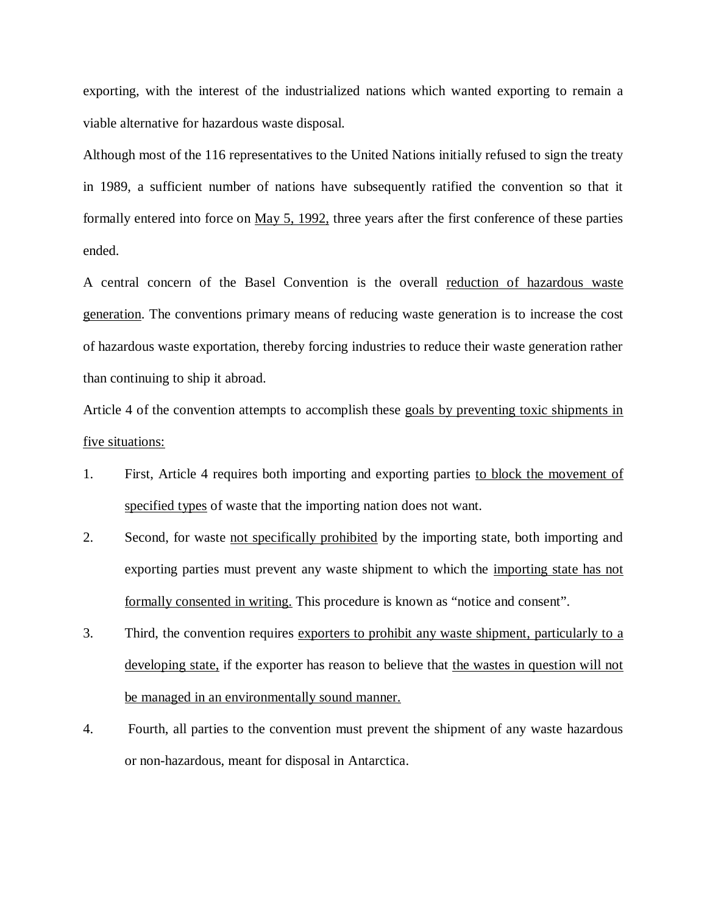exporting, with the interest of the industrialized nations which wanted exporting to remain a viable alternative for hazardous waste disposal.

Although most of the 116 representatives to the United Nations initially refused to sign the treaty in 1989, a sufficient number of nations have subsequently ratified the convention so that it formally entered into force on May 5, 1992, three years after the first conference of these parties ended.

A central concern of the Basel Convention is the overall reduction of hazardous waste generation. The conventions primary means of reducing waste generation is to increase the cost of hazardous waste exportation, thereby forcing industries to reduce their waste generation rather than continuing to ship it abroad.

Article 4 of the convention attempts to accomplish these goals by preventing toxic shipments in five situations:

- 1. First, Article 4 requires both importing and exporting parties to block the movement of specified types of waste that the importing nation does not want.
- 2. Second, for waste not specifically prohibited by the importing state, both importing and exporting parties must prevent any waste shipment to which the importing state has not formally consented in writing. This procedure is known as "notice and consent".
- 3. Third, the convention requires exporters to prohibit any waste shipment, particularly to a developing state, if the exporter has reason to believe that the wastes in question will not be managed in an environmentally sound manner.
- 4. Fourth, all parties to the convention must prevent the shipment of any waste hazardous or non-hazardous, meant for disposal in Antarctica.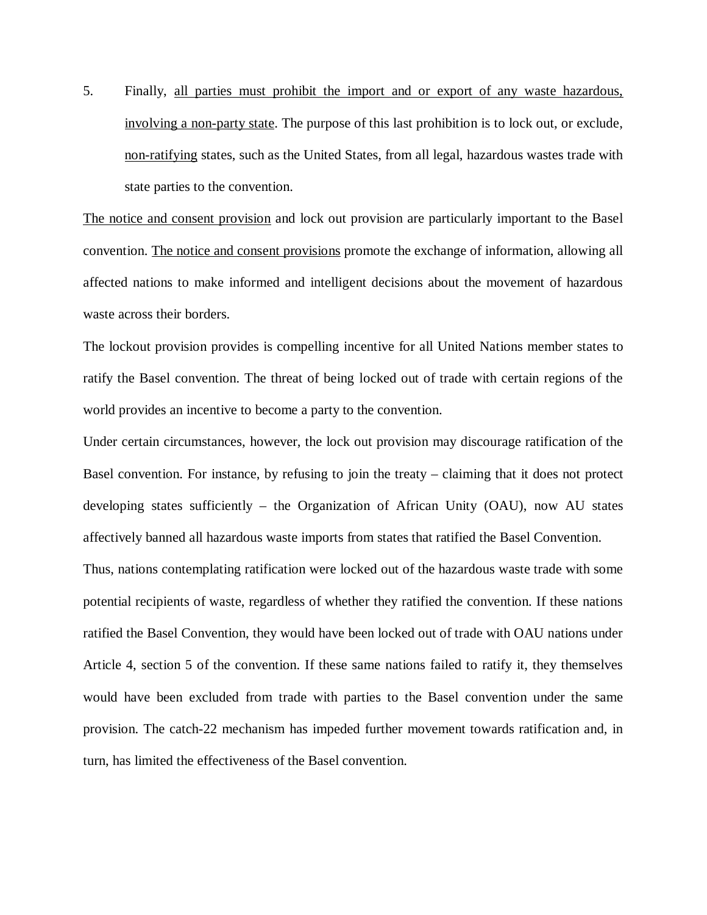5. Finally, all parties must prohibit the import and or export of any waste hazardous, involving a non-party state. The purpose of this last prohibition is to lock out, or exclude, non-ratifying states, such as the United States, from all legal, hazardous wastes trade with state parties to the convention.

The notice and consent provision and lock out provision are particularly important to the Basel convention. The notice and consent provisions promote the exchange of information, allowing all affected nations to make informed and intelligent decisions about the movement of hazardous waste across their borders.

The lockout provision provides is compelling incentive for all United Nations member states to ratify the Basel convention. The threat of being locked out of trade with certain regions of the world provides an incentive to become a party to the convention.

Under certain circumstances, however, the lock out provision may discourage ratification of the Basel convention. For instance, by refusing to join the treaty – claiming that it does not protect developing states sufficiently – the Organization of African Unity (OAU), now AU states affectively banned all hazardous waste imports from states that ratified the Basel Convention.

Thus, nations contemplating ratification were locked out of the hazardous waste trade with some potential recipients of waste, regardless of whether they ratified the convention. If these nations ratified the Basel Convention, they would have been locked out of trade with OAU nations under Article 4, section 5 of the convention. If these same nations failed to ratify it, they themselves would have been excluded from trade with parties to the Basel convention under the same provision. The catch-22 mechanism has impeded further movement towards ratification and, in turn, has limited the effectiveness of the Basel convention.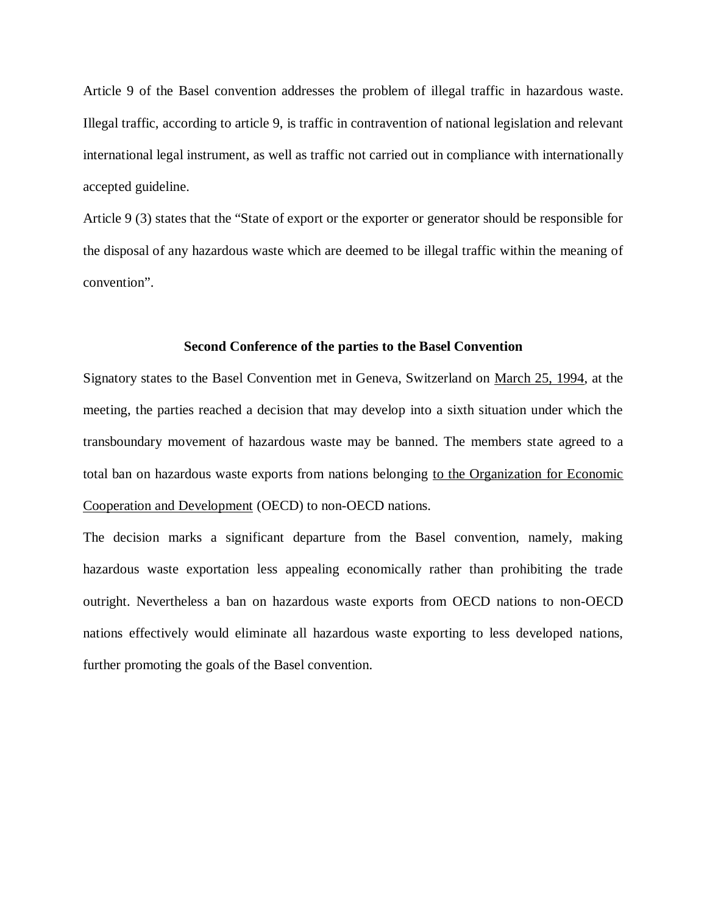Article 9 of the Basel convention addresses the problem of illegal traffic in hazardous waste. Illegal traffic, according to article 9, is traffic in contravention of national legislation and relevant international legal instrument, as well as traffic not carried out in compliance with internationally accepted guideline.

Article 9 (3) states that the "State of export or the exporter or generator should be responsible for the disposal of any hazardous waste which are deemed to be illegal traffic within the meaning of convention".

#### **Second Conference of the parties to the Basel Convention**

Signatory states to the Basel Convention met in Geneva, Switzerland on March 25, 1994, at the meeting, the parties reached a decision that may develop into a sixth situation under which the transboundary movement of hazardous waste may be banned. The members state agreed to a total ban on hazardous waste exports from nations belonging to the Organization for Economic Cooperation and Development (OECD) to non-OECD nations.

The decision marks a significant departure from the Basel convention, namely, making hazardous waste exportation less appealing economically rather than prohibiting the trade outright. Nevertheless a ban on hazardous waste exports from OECD nations to non-OECD nations effectively would eliminate all hazardous waste exporting to less developed nations, further promoting the goals of the Basel convention.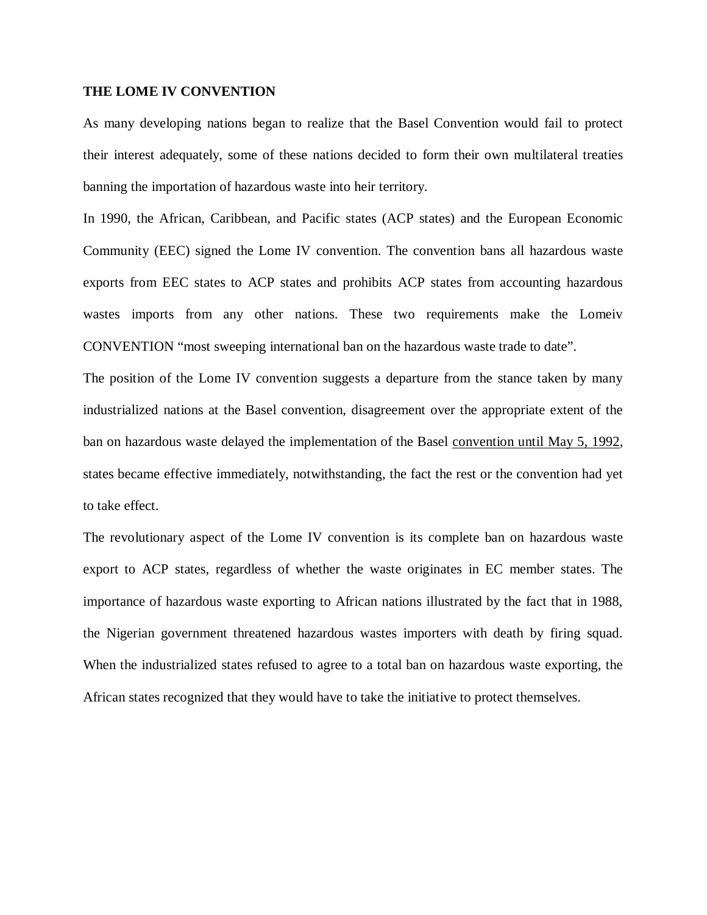## **THE LOME IV CONVENTION**

As many developing nations began to realize that the Basel Convention would fail to protect their interest adequately, some of these nations decided to form their own multilateral treaties banning the importation of hazardous waste into heir territory.

In 1990, the African, Caribbean, and Pacific states (ACP states) and the European Economic Community (EEC) signed the Lome IV convention. The convention bans all hazardous waste exports from EEC states to ACP states and prohibits ACP states from accounting hazardous wastes imports from any other nations. These two requirements make the Lomeiv CONVENTION "most sweeping international ban on the hazardous waste trade to date".

The position of the Lome IV convention suggests a departure from the stance taken by many industrialized nations at the Basel convention, disagreement over the appropriate extent of the ban on hazardous waste delayed the implementation of the Basel convention until May 5, 1992, states became effective immediately, notwithstanding, the fact the rest or the convention had yet to take effect.

The revolutionary aspect of the Lome IV convention is its complete ban on hazardous waste export to ACP states, regardless of whether the waste originates in EC member states. The importance of hazardous waste exporting to African nations illustrated by the fact that in 1988, the Nigerian government threatened hazardous wastes importers with death by firing squad. When the industrialized states refused to agree to a total ban on hazardous waste exporting, the African states recognized that they would have to take the initiative to protect themselves.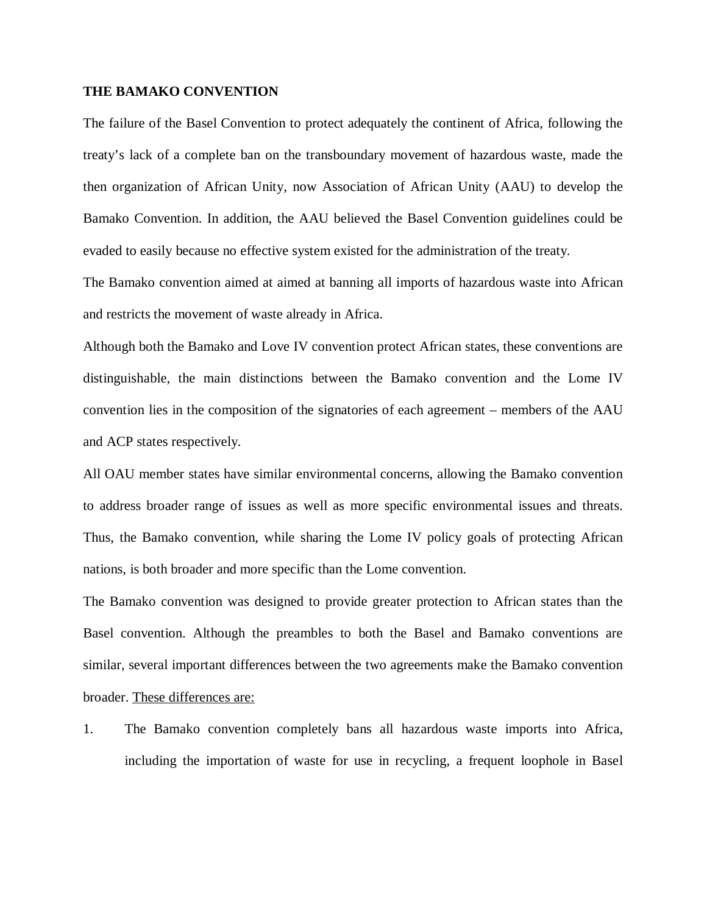#### **THE BAMAKO CONVENTION**

The failure of the Basel Convention to protect adequately the continent of Africa, following the treaty's lack of a complete ban on the transboundary movement of hazardous waste, made the then organization of African Unity, now Association of African Unity (AAU) to develop the Bamako Convention. In addition, the AAU believed the Basel Convention guidelines could be evaded to easily because no effective system existed for the administration of the treaty.

The Bamako convention aimed at aimed at banning all imports of hazardous waste into African and restricts the movement of waste already in Africa.

Although both the Bamako and Love IV convention protect African states, these conventions are distinguishable, the main distinctions between the Bamako convention and the Lome IV convention lies in the composition of the signatories of each agreement – members of the AAU and ACP states respectively.

All OAU member states have similar environmental concerns, allowing the Bamako convention to address broader range of issues as well as more specific environmental issues and threats. Thus, the Bamako convention, while sharing the Lome IV policy goals of protecting African nations, is both broader and more specific than the Lome convention.

The Bamako convention was designed to provide greater protection to African states than the Basel convention. Although the preambles to both the Basel and Bamako conventions are similar, several important differences between the two agreements make the Bamako convention broader. These differences are:

1. The Bamako convention completely bans all hazardous waste imports into Africa, including the importation of waste for use in recycling, a frequent loophole in Basel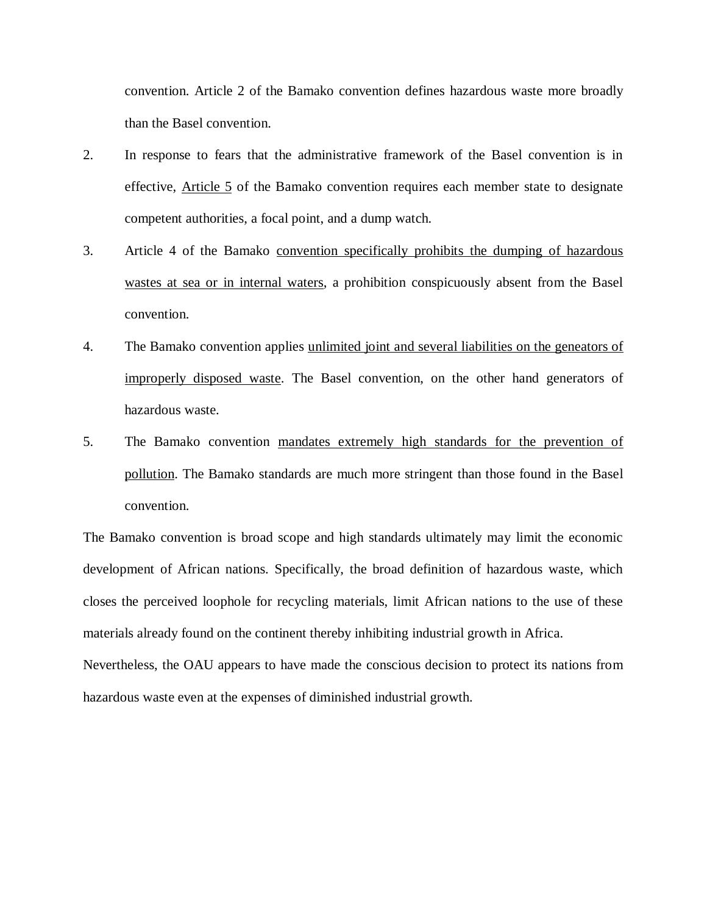convention. Article 2 of the Bamako convention defines hazardous waste more broadly than the Basel convention.

- 2. In response to fears that the administrative framework of the Basel convention is in effective, Article 5 of the Bamako convention requires each member state to designate competent authorities, a focal point, and a dump watch.
- 3. Article 4 of the Bamako convention specifically prohibits the dumping of hazardous wastes at sea or in internal waters, a prohibition conspicuously absent from the Basel convention.
- 4. The Bamako convention applies unlimited joint and several liabilities on the geneators of improperly disposed waste. The Basel convention, on the other hand generators of hazardous waste.
- 5. The Bamako convention mandates extremely high standards for the prevention of pollution. The Bamako standards are much more stringent than those found in the Basel convention.

The Bamako convention is broad scope and high standards ultimately may limit the economic development of African nations. Specifically, the broad definition of hazardous waste, which closes the perceived loophole for recycling materials, limit African nations to the use of these materials already found on the continent thereby inhibiting industrial growth in Africa.

Nevertheless, the OAU appears to have made the conscious decision to protect its nations from hazardous waste even at the expenses of diminished industrial growth.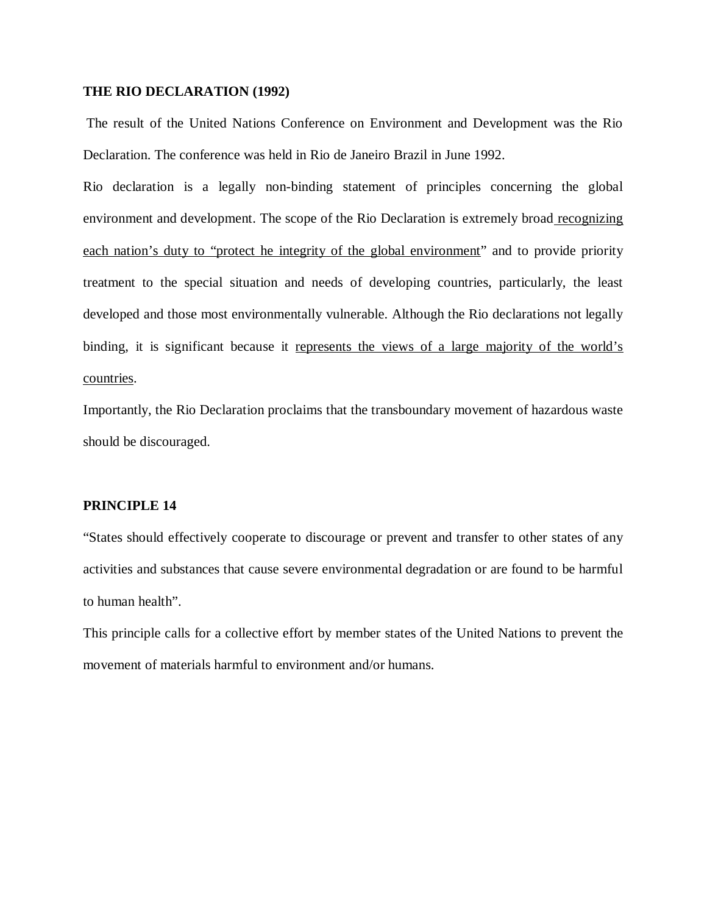#### **THE RIO DECLARATION (1992)**

The result of the United Nations Conference on Environment and Development was the Rio Declaration. The conference was held in Rio de Janeiro Brazil in June 1992.

Rio declaration is a legally non-binding statement of principles concerning the global environment and development. The scope of the Rio Declaration is extremely broad recognizing each nation's duty to "protect he integrity of the global environment" and to provide priority treatment to the special situation and needs of developing countries, particularly, the least developed and those most environmentally vulnerable. Although the Rio declarations not legally binding, it is significant because it represents the views of a large majority of the world's countries.

Importantly, the Rio Declaration proclaims that the transboundary movement of hazardous waste should be discouraged.

## **PRINCIPLE 14**

"States should effectively cooperate to discourage or prevent and transfer to other states of any activities and substances that cause severe environmental degradation or are found to be harmful to human health".

This principle calls for a collective effort by member states of the United Nations to prevent the movement of materials harmful to environment and/or humans.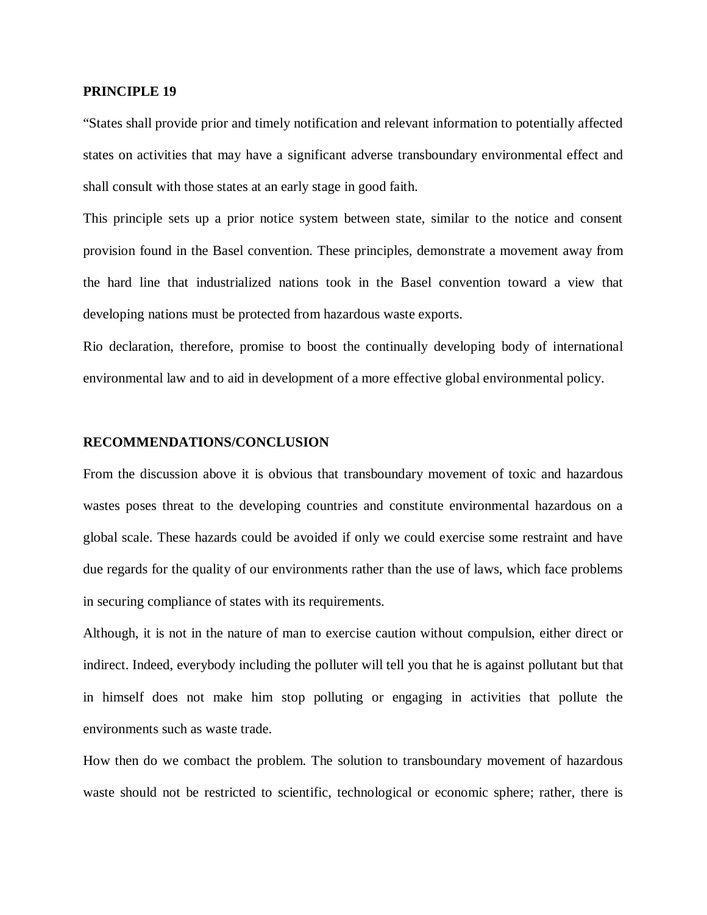#### **PRINCIPLE 19**

"States shall provide prior and timely notification and relevant information to potentially affected states on activities that may have a significant adverse transboundary environmental effect and shall consult with those states at an early stage in good faith.

This principle sets up a prior notice system between state, similar to the notice and consent provision found in the Basel convention. These principles, demonstrate a movement away from the hard line that industrialized nations took in the Basel convention toward a view that developing nations must be protected from hazardous waste exports.

Rio declaration, therefore, promise to boost the continually developing body of international environmental law and to aid in development of a more effective global environmental policy.

#### **RECOMMENDATIONS/CONCLUSION**

From the discussion above it is obvious that transboundary movement of toxic and hazardous wastes poses threat to the developing countries and constitute environmental hazardous on a global scale. These hazards could be avoided if only we could exercise some restraint and have due regards for the quality of our environments rather than the use of laws, which face problems in securing compliance of states with its requirements.

Although, it is not in the nature of man to exercise caution without compulsion, either direct or indirect. Indeed, everybody including the polluter will tell you that he is against pollutant but that in himself does not make him stop polluting or engaging in activities that pollute the environments such as waste trade.

How then do we combact the problem. The solution to transboundary movement of hazardous waste should not be restricted to scientific, technological or economic sphere; rather, there is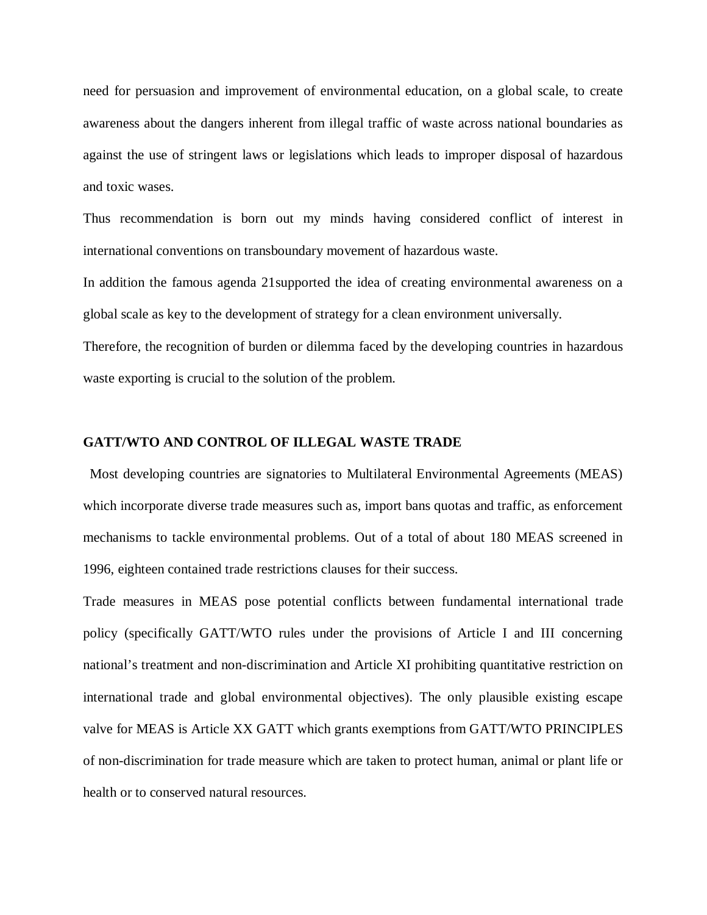need for persuasion and improvement of environmental education, on a global scale, to create awareness about the dangers inherent from illegal traffic of waste across national boundaries as against the use of stringent laws or legislations which leads to improper disposal of hazardous and toxic wases.

Thus recommendation is born out my minds having considered conflict of interest in international conventions on transboundary movement of hazardous waste.

In addition the famous agenda 21supported the idea of creating environmental awareness on a global scale as key to the development of strategy for a clean environment universally.

Therefore, the recognition of burden or dilemma faced by the developing countries in hazardous waste exporting is crucial to the solution of the problem.

#### **GATT/WTO AND CONTROL OF ILLEGAL WASTE TRADE**

 Most developing countries are signatories to Multilateral Environmental Agreements (MEAS) which incorporate diverse trade measures such as, import bans quotas and traffic, as enforcement mechanisms to tackle environmental problems. Out of a total of about 180 MEAS screened in 1996, eighteen contained trade restrictions clauses for their success.

Trade measures in MEAS pose potential conflicts between fundamental international trade policy (specifically GATT/WTO rules under the provisions of Article I and III concerning national's treatment and non-discrimination and Article XI prohibiting quantitative restriction on international trade and global environmental objectives). The only plausible existing escape valve for MEAS is Article XX GATT which grants exemptions from GATT/WTO PRINCIPLES of non-discrimination for trade measure which are taken to protect human, animal or plant life or health or to conserved natural resources.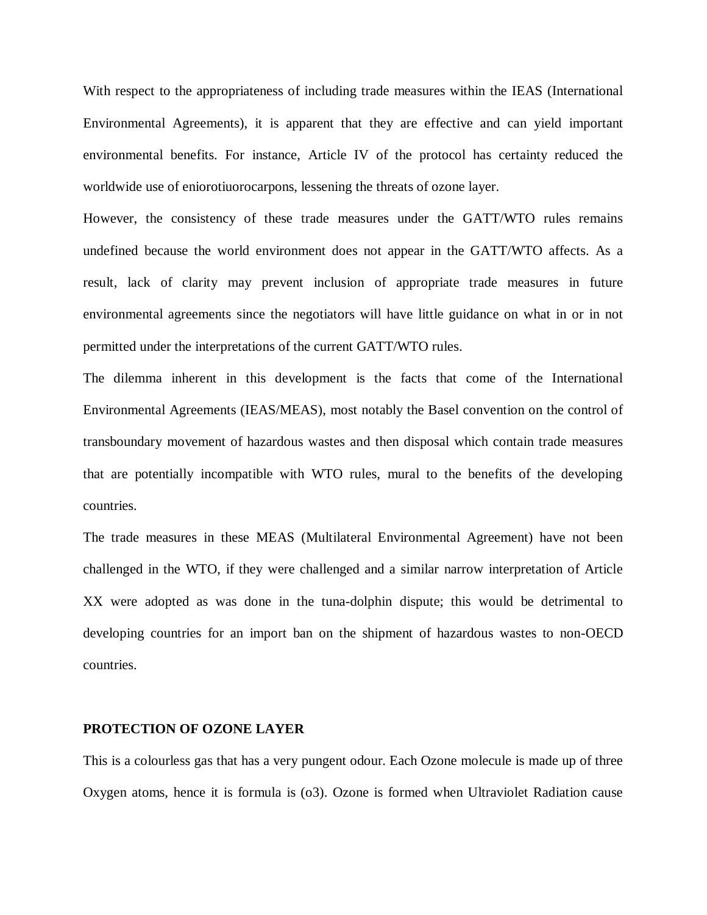With respect to the appropriateness of including trade measures within the IEAS (International Environmental Agreements), it is apparent that they are effective and can yield important environmental benefits. For instance, Article IV of the protocol has certainty reduced the worldwide use of eniorotiuorocarpons, lessening the threats of ozone layer.

However, the consistency of these trade measures under the GATT/WTO rules remains undefined because the world environment does not appear in the GATT/WTO affects. As a result, lack of clarity may prevent inclusion of appropriate trade measures in future environmental agreements since the negotiators will have little guidance on what in or in not permitted under the interpretations of the current GATT/WTO rules.

The dilemma inherent in this development is the facts that come of the International Environmental Agreements (IEAS/MEAS), most notably the Basel convention on the control of transboundary movement of hazardous wastes and then disposal which contain trade measures that are potentially incompatible with WTO rules, mural to the benefits of the developing countries.

The trade measures in these MEAS (Multilateral Environmental Agreement) have not been challenged in the WTO, if they were challenged and a similar narrow interpretation of Article XX were adopted as was done in the tuna-dolphin dispute; this would be detrimental to developing countries for an import ban on the shipment of hazardous wastes to non-OECD countries.

#### **PROTECTION OF OZONE LAYER**

This is a colourless gas that has a very pungent odour. Each Ozone molecule is made up of three Oxygen atoms, hence it is formula is (o3). Ozone is formed when Ultraviolet Radiation cause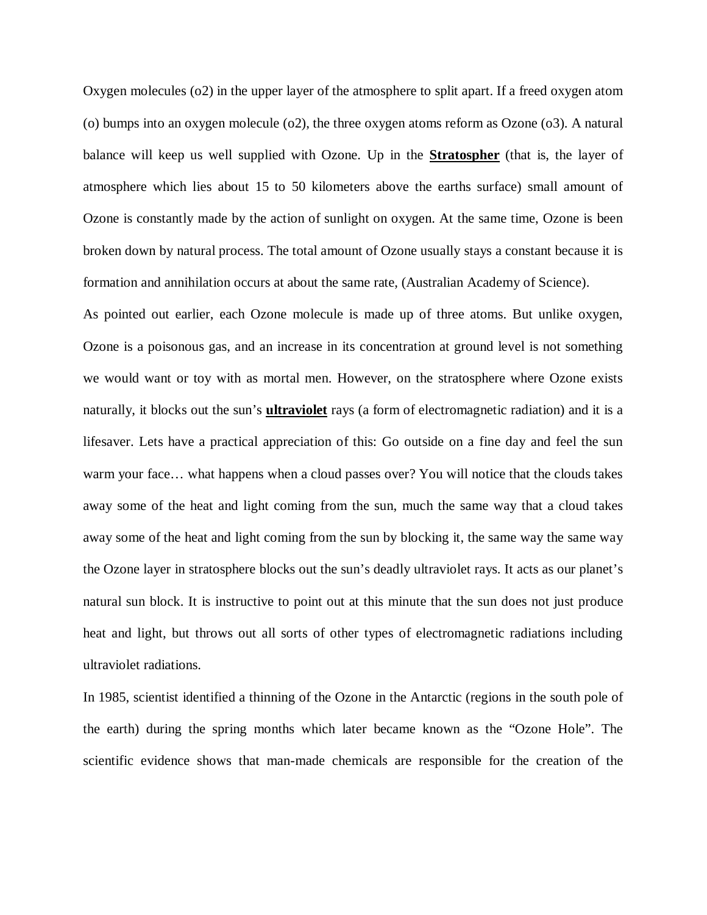Oxygen molecules (o2) in the upper layer of the atmosphere to split apart. If a freed oxygen atom (o) bumps into an oxygen molecule (o2), the three oxygen atoms reform as Ozone (o3). A natural balance will keep us well supplied with Ozone. Up in the **Stratospher** (that is, the layer of atmosphere which lies about 15 to 50 kilometers above the earths surface) small amount of Ozone is constantly made by the action of sunlight on oxygen. At the same time, Ozone is been broken down by natural process. The total amount of Ozone usually stays a constant because it is formation and annihilation occurs at about the same rate, (Australian Academy of Science).

As pointed out earlier, each Ozone molecule is made up of three atoms. But unlike oxygen, Ozone is a poisonous gas, and an increase in its concentration at ground level is not something we would want or toy with as mortal men. However, on the stratosphere where Ozone exists naturally, it blocks out the sun's **ultraviolet** rays (a form of electromagnetic radiation) and it is a lifesaver. Lets have a practical appreciation of this: Go outside on a fine day and feel the sun warm your face… what happens when a cloud passes over? You will notice that the clouds takes away some of the heat and light coming from the sun, much the same way that a cloud takes away some of the heat and light coming from the sun by blocking it, the same way the same way the Ozone layer in stratosphere blocks out the sun's deadly ultraviolet rays. It acts as our planet's natural sun block. It is instructive to point out at this minute that the sun does not just produce heat and light, but throws out all sorts of other types of electromagnetic radiations including ultraviolet radiations.

In 1985, scientist identified a thinning of the Ozone in the Antarctic (regions in the south pole of the earth) during the spring months which later became known as the "Ozone Hole". The scientific evidence shows that man-made chemicals are responsible for the creation of the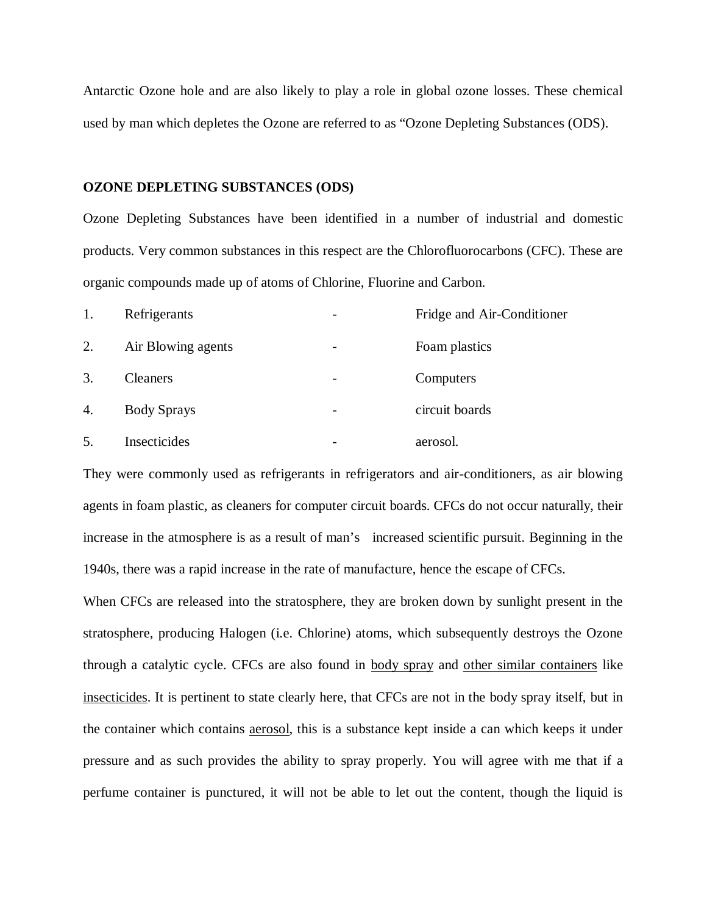Antarctic Ozone hole and are also likely to play a role in global ozone losses. These chemical used by man which depletes the Ozone are referred to as "Ozone Depleting Substances (ODS).

#### **OZONE DEPLETING SUBSTANCES (ODS)**

Ozone Depleting Substances have been identified in a number of industrial and domestic products. Very common substances in this respect are the Chlorofluorocarbons (CFC). These are organic compounds made up of atoms of Chlorine, Fluorine and Carbon.

| 1. | Refrigerants       |                          | Fridge and Air-Conditioner |
|----|--------------------|--------------------------|----------------------------|
| 2. | Air Blowing agents |                          | Foam plastics              |
| 3. | <b>Cleaners</b>    |                          | Computers                  |
| 4. | <b>Body Sprays</b> | $\overline{\phantom{a}}$ | circuit boards             |
| 5. | Insecticides       |                          | aerosol.                   |

They were commonly used as refrigerants in refrigerators and air-conditioners, as air blowing agents in foam plastic, as cleaners for computer circuit boards. CFCs do not occur naturally, their increase in the atmosphere is as a result of man's increased scientific pursuit. Beginning in the 1940s, there was a rapid increase in the rate of manufacture, hence the escape of CFCs.

When CFCs are released into the stratosphere, they are broken down by sunlight present in the stratosphere, producing Halogen (i.e. Chlorine) atoms, which subsequently destroys the Ozone through a catalytic cycle. CFCs are also found in body spray and other similar containers like insecticides. It is pertinent to state clearly here, that CFCs are not in the body spray itself, but in the container which contains aerosol, this is a substance kept inside a can which keeps it under pressure and as such provides the ability to spray properly. You will agree with me that if a perfume container is punctured, it will not be able to let out the content, though the liquid is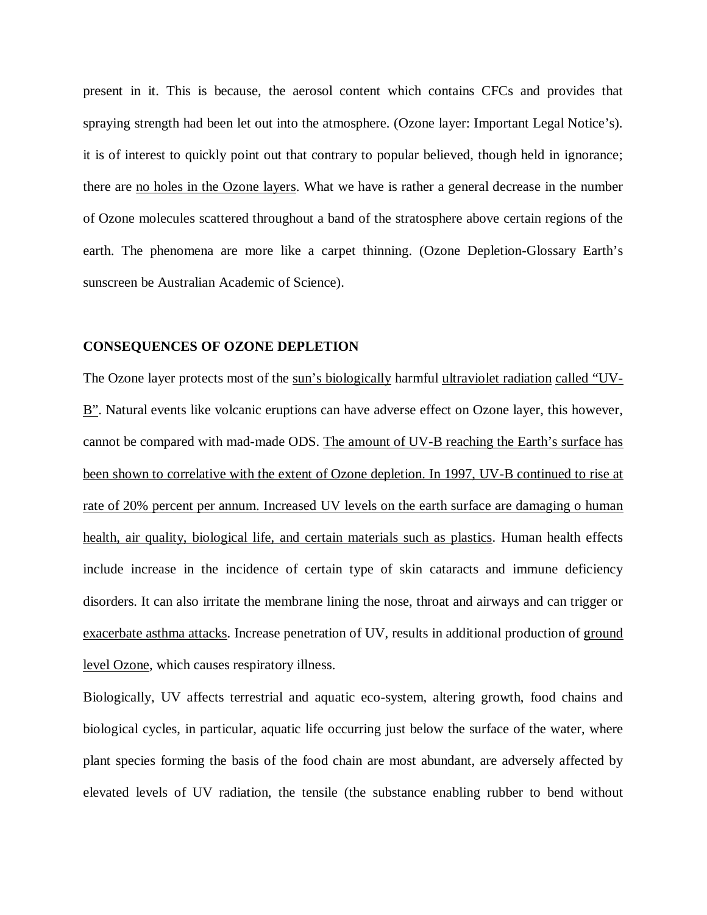present in it. This is because, the aerosol content which contains CFCs and provides that spraying strength had been let out into the atmosphere. (Ozone layer: Important Legal Notice's). it is of interest to quickly point out that contrary to popular believed, though held in ignorance; there are no holes in the Ozone layers. What we have is rather a general decrease in the number of Ozone molecules scattered throughout a band of the stratosphere above certain regions of the earth. The phenomena are more like a carpet thinning. (Ozone Depletion-Glossary Earth's sunscreen be Australian Academic of Science).

#### **CONSEQUENCES OF OZONE DEPLETION**

The Ozone layer protects most of the sun's biologically harmful ultraviolet radiation called "UV-B". Natural events like volcanic eruptions can have adverse effect on Ozone layer, this however, cannot be compared with mad-made ODS. The amount of UV-B reaching the Earth's surface has been shown to correlative with the extent of Ozone depletion. In 1997, UV-B continued to rise at rate of 20% percent per annum. Increased UV levels on the earth surface are damaging o human health, air quality, biological life, and certain materials such as plastics. Human health effects include increase in the incidence of certain type of skin cataracts and immune deficiency disorders. It can also irritate the membrane lining the nose, throat and airways and can trigger or exacerbate asthma attacks. Increase penetration of UV, results in additional production of ground level Ozone, which causes respiratory illness.

Biologically, UV affects terrestrial and aquatic eco-system, altering growth, food chains and biological cycles, in particular, aquatic life occurring just below the surface of the water, where plant species forming the basis of the food chain are most abundant, are adversely affected by elevated levels of UV radiation, the tensile (the substance enabling rubber to bend without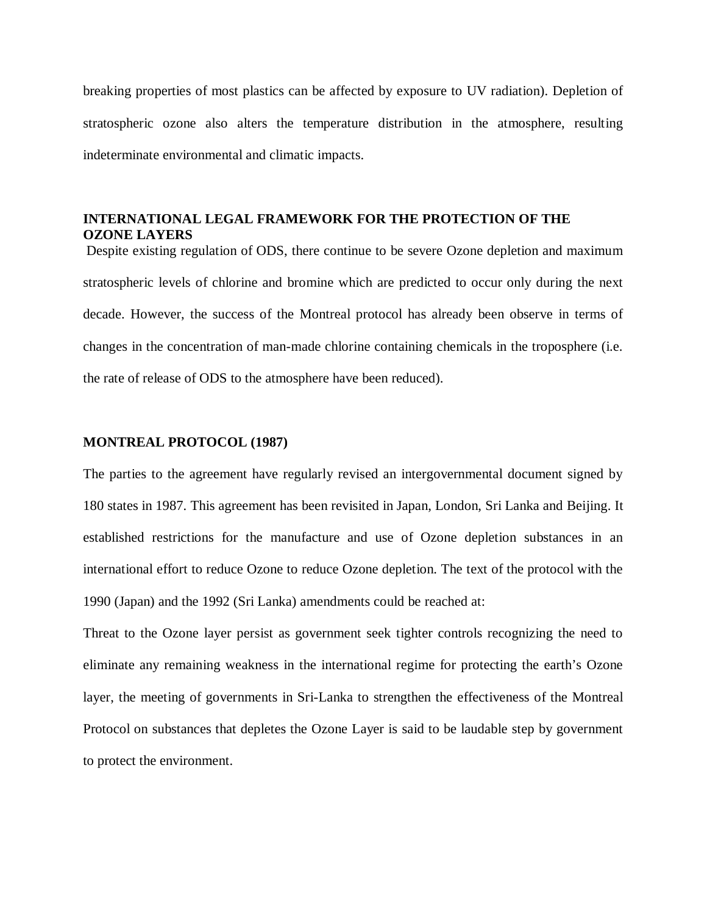breaking properties of most plastics can be affected by exposure to UV radiation). Depletion of stratospheric ozone also alters the temperature distribution in the atmosphere, resulting indeterminate environmental and climatic impacts.

## **INTERNATIONAL LEGAL FRAMEWORK FOR THE PROTECTION OF THE OZONE LAYERS**

Despite existing regulation of ODS, there continue to be severe Ozone depletion and maximum stratospheric levels of chlorine and bromine which are predicted to occur only during the next decade. However, the success of the Montreal protocol has already been observe in terms of changes in the concentration of man-made chlorine containing chemicals in the troposphere (i.e. the rate of release of ODS to the atmosphere have been reduced).

#### **MONTREAL PROTOCOL (1987)**

The parties to the agreement have regularly revised an intergovernmental document signed by 180 states in 1987. This agreement has been revisited in Japan, London, Sri Lanka and Beijing. It established restrictions for the manufacture and use of Ozone depletion substances in an international effort to reduce Ozone to reduce Ozone depletion. The text of the protocol with the 1990 (Japan) and the 1992 (Sri Lanka) amendments could be reached at:

Threat to the Ozone layer persist as government seek tighter controls recognizing the need to eliminate any remaining weakness in the international regime for protecting the earth's Ozone layer, the meeting of governments in Sri-Lanka to strengthen the effectiveness of the Montreal Protocol on substances that depletes the Ozone Layer is said to be laudable step by government to protect the environment.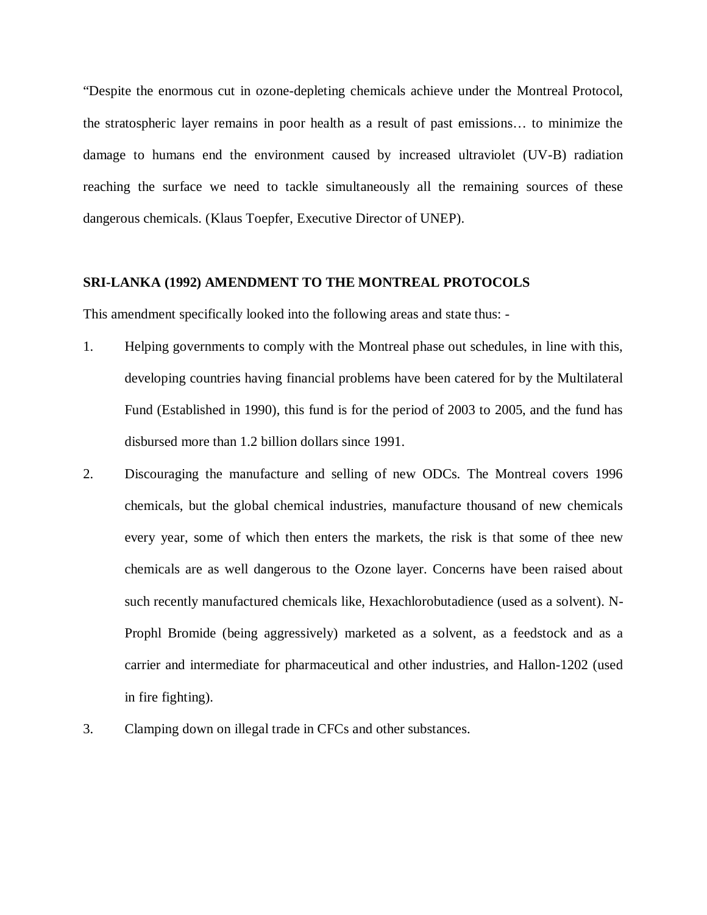"Despite the enormous cut in ozone-depleting chemicals achieve under the Montreal Protocol, the stratospheric layer remains in poor health as a result of past emissions… to minimize the damage to humans end the environment caused by increased ultraviolet (UV-B) radiation reaching the surface we need to tackle simultaneously all the remaining sources of these dangerous chemicals. (Klaus Toepfer, Executive Director of UNEP).

#### **SRI-LANKA (1992) AMENDMENT TO THE MONTREAL PROTOCOLS**

This amendment specifically looked into the following areas and state thus: -

- 1. Helping governments to comply with the Montreal phase out schedules, in line with this, developing countries having financial problems have been catered for by the Multilateral Fund (Established in 1990), this fund is for the period of 2003 to 2005, and the fund has disbursed more than 1.2 billion dollars since 1991.
- 2. Discouraging the manufacture and selling of new ODCs. The Montreal covers 1996 chemicals, but the global chemical industries, manufacture thousand of new chemicals every year, some of which then enters the markets, the risk is that some of thee new chemicals are as well dangerous to the Ozone layer. Concerns have been raised about such recently manufactured chemicals like, Hexachlorobutadience (used as a solvent). N-Prophl Bromide (being aggressively) marketed as a solvent, as a feedstock and as a carrier and intermediate for pharmaceutical and other industries, and Hallon-1202 (used in fire fighting).
- 3. Clamping down on illegal trade in CFCs and other substances.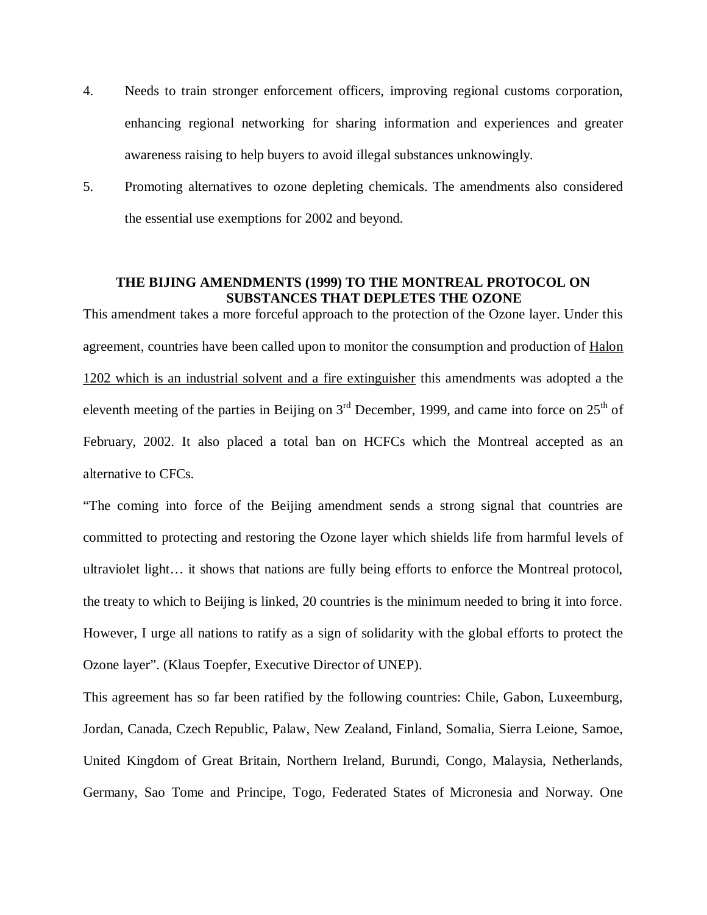- 4. Needs to train stronger enforcement officers, improving regional customs corporation, enhancing regional networking for sharing information and experiences and greater awareness raising to help buyers to avoid illegal substances unknowingly.
- 5. Promoting alternatives to ozone depleting chemicals. The amendments also considered the essential use exemptions for 2002 and beyond.

## **THE BIJING AMENDMENTS (1999) TO THE MONTREAL PROTOCOL ON SUBSTANCES THAT DEPLETES THE OZONE**

This amendment takes a more forceful approach to the protection of the Ozone layer. Under this agreement, countries have been called upon to monitor the consumption and production of Halon 1202 which is an industrial solvent and a fire extinguisher this amendments was adopted a the eleventh meeting of the parties in Beijing on  $3<sup>rd</sup>$  December, 1999, and came into force on  $25<sup>th</sup>$  of February, 2002. It also placed a total ban on HCFCs which the Montreal accepted as an alternative to CFCs.

"The coming into force of the Beijing amendment sends a strong signal that countries are committed to protecting and restoring the Ozone layer which shields life from harmful levels of ultraviolet light… it shows that nations are fully being efforts to enforce the Montreal protocol, the treaty to which to Beijing is linked, 20 countries is the minimum needed to bring it into force. However, I urge all nations to ratify as a sign of solidarity with the global efforts to protect the Ozone layer". (Klaus Toepfer, Executive Director of UNEP).

This agreement has so far been ratified by the following countries: Chile, Gabon, Luxeemburg, Jordan, Canada, Czech Republic, Palaw, New Zealand, Finland, Somalia, Sierra Leione, Samoe, United Kingdom of Great Britain, Northern Ireland, Burundi, Congo, Malaysia, Netherlands, Germany, Sao Tome and Principe, Togo, Federated States of Micronesia and Norway. One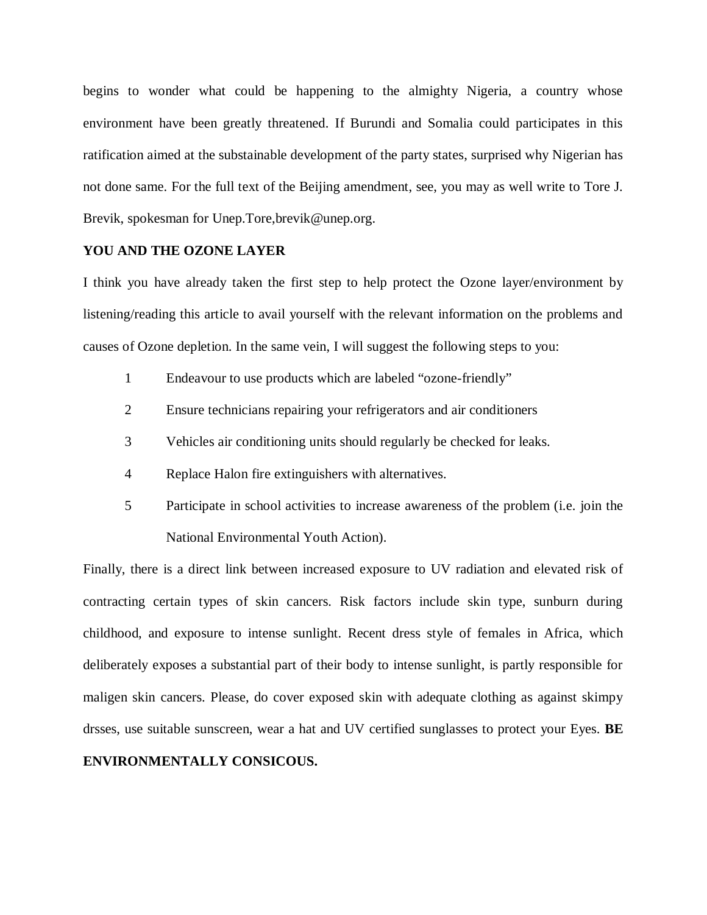begins to wonder what could be happening to the almighty Nigeria, a country whose environment have been greatly threatened. If Burundi and Somalia could participates in this ratification aimed at the substainable development of the party states, surprised why Nigerian has not done same. For the full text of the Beijing amendment, see, you may as well write to Tore J. Brevik, spokesman for Unep.Tore,brevik@unep.org.

#### **YOU AND THE OZONE LAYER**

I think you have already taken the first step to help protect the Ozone layer/environment by listening/reading this article to avail yourself with the relevant information on the problems and causes of Ozone depletion. In the same vein, I will suggest the following steps to you:

- 1 Endeavour to use products which are labeled "ozone-friendly"
- 2 Ensure technicians repairing your refrigerators and air conditioners
- 3 Vehicles air conditioning units should regularly be checked for leaks.
- 4 Replace Halon fire extinguishers with alternatives.
- 5 Participate in school activities to increase awareness of the problem (i.e. join the National Environmental Youth Action).

Finally, there is a direct link between increased exposure to UV radiation and elevated risk of contracting certain types of skin cancers. Risk factors include skin type, sunburn during childhood, and exposure to intense sunlight. Recent dress style of females in Africa, which deliberately exposes a substantial part of their body to intense sunlight, is partly responsible for maligen skin cancers. Please, do cover exposed skin with adequate clothing as against skimpy drsses, use suitable sunscreen, wear a hat and UV certified sunglasses to protect your Eyes. **BE** 

## **ENVIRONMENTALLY CONSICOUS.**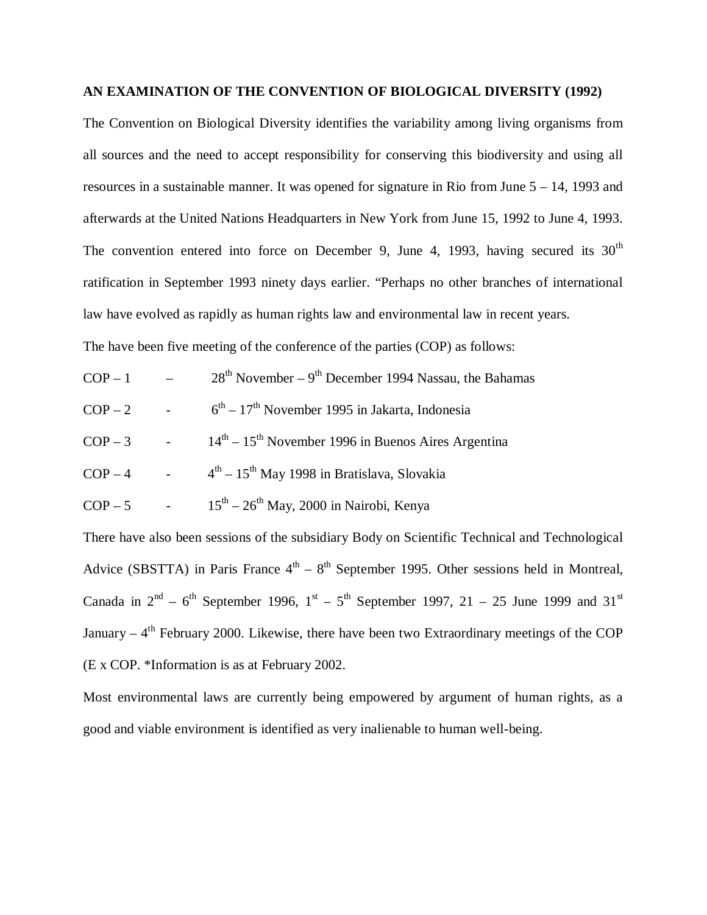#### **AN EXAMINATION OF THE CONVENTION OF BIOLOGICAL DIVERSITY (1992)**

The Convention on Biological Diversity identifies the variability among living organisms from all sources and the need to accept responsibility for conserving this biodiversity and using all resources in a sustainable manner. It was opened for signature in Rio from June 5 – 14, 1993 and afterwards at the United Nations Headquarters in New York from June 15, 1992 to June 4, 1993. The convention entered into force on December 9, June 4, 1993, having secured its  $30<sup>th</sup>$ ratification in September 1993 ninety days earlier. "Perhaps no other branches of international law have evolved as rapidly as human rights law and environmental law in recent years. The have been five meeting of the conference of the parties (COP) as follows:

- $COP 1$  28<sup>th</sup> November 9<sup>th</sup> December 1994 Nassau, the Bahamas
- $COP 2$ <sup>th</sup> – 17<sup>th</sup> November 1995 in Jakarta, Indonesia
- $COP 3$  - $14<sup>th</sup> - 15<sup>th</sup>$  November 1996 in Buenos Aires Argentina
- $COP 4$  -<sup>th</sup> – 15<sup>th</sup> May 1998 in Bratislava, Slovakia
- $COP 5$  - $15<sup>th</sup> - 26<sup>th</sup>$  May, 2000 in Nairobi, Kenya

There have also been sessions of the subsidiary Body on Scientific Technical and Technological Advice (SBSTTA) in Paris France  $4<sup>th</sup> - 8<sup>th</sup>$  September 1995. Other sessions held in Montreal, Canada in  $2<sup>nd</sup> - 6<sup>th</sup>$  September 1996,  $1<sup>st</sup> - 5<sup>th</sup>$  September 1997, 21 – 25 June 1999 and 31<sup>st</sup> January – 4<sup>th</sup> February 2000. Likewise, there have been two Extraordinary meetings of the COP (E x COP. \*Information is as at February 2002.

Most environmental laws are currently being empowered by argument of human rights, as a good and viable environment is identified as very inalienable to human well-being.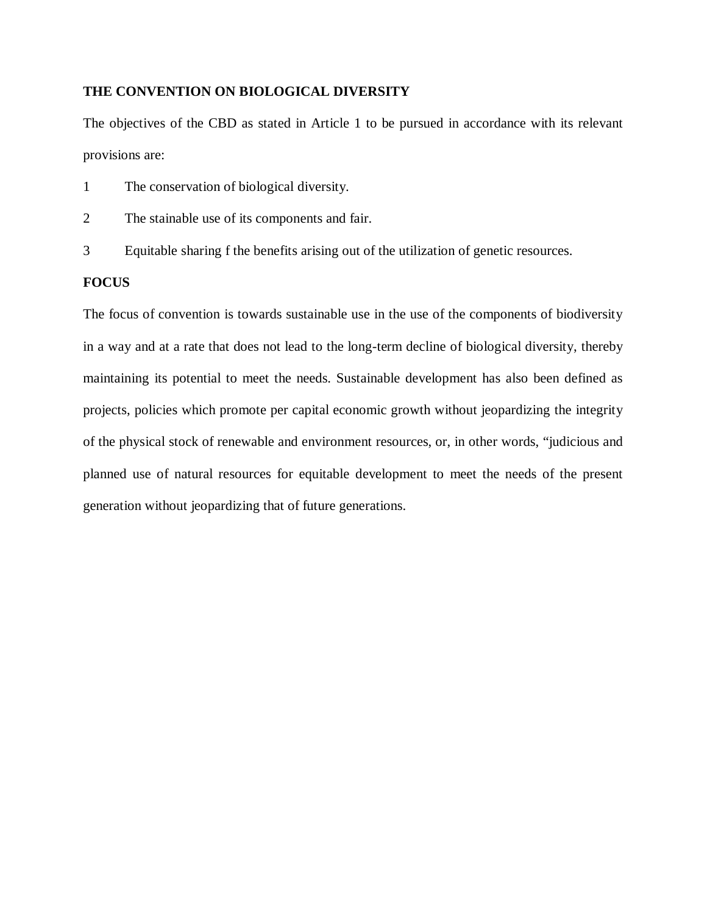## **THE CONVENTION ON BIOLOGICAL DIVERSITY**

The objectives of the CBD as stated in Article 1 to be pursued in accordance with its relevant provisions are:

- 1 The conservation of biological diversity.
- 2 The stainable use of its components and fair.
- 3 Equitable sharing f the benefits arising out of the utilization of genetic resources.

### **FOCUS**

The focus of convention is towards sustainable use in the use of the components of biodiversity in a way and at a rate that does not lead to the long-term decline of biological diversity, thereby maintaining its potential to meet the needs. Sustainable development has also been defined as projects, policies which promote per capital economic growth without jeopardizing the integrity of the physical stock of renewable and environment resources, or, in other words, "judicious and planned use of natural resources for equitable development to meet the needs of the present generation without jeopardizing that of future generations.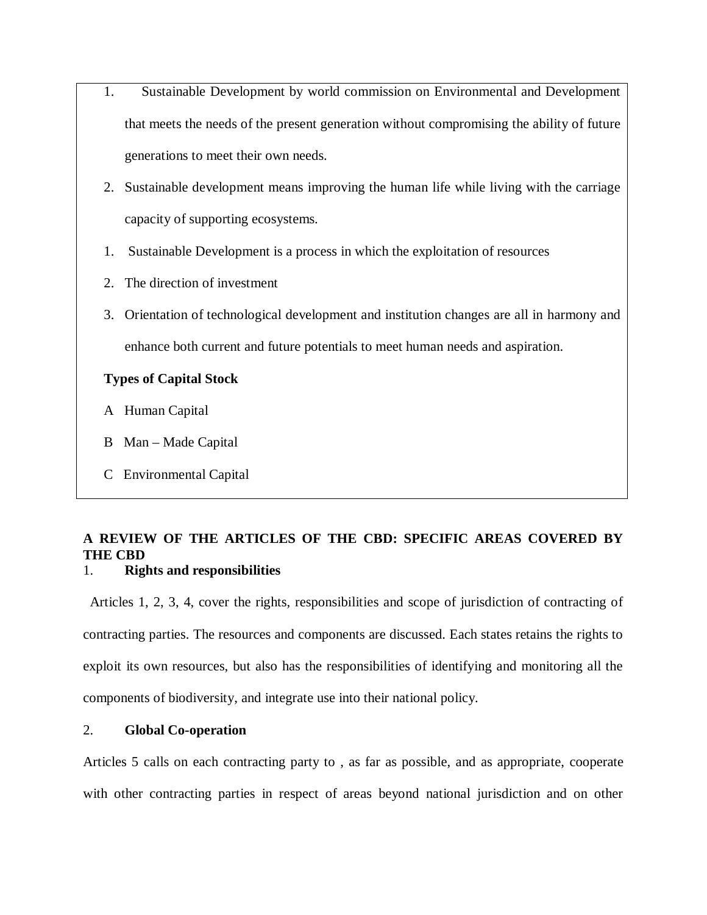- 1. Sustainable Development by world commission on Environmental and Development that meets the needs of the present generation without compromising the ability of future generations to meet their own needs.
- 2. Sustainable development means improving the human life while living with the carriage capacity of supporting ecosystems.
- 1. Sustainable Development is a process in which the exploitation of resources
- 2. The direction of investment
- 3. Orientation of technological development and institution changes are all in harmony and enhance both current and future potentials to meet human needs and aspiration.

## **Types of Capital Stock**

- A Human Capital
- B Man Made Capital
- C Environmental Capital

## **A REVIEW OF THE ARTICLES OF THE CBD: SPECIFIC AREAS COVERED BY THE CBD**

## 1. **Rights and responsibilities**

 Articles 1, 2, 3, 4, cover the rights, responsibilities and scope of jurisdiction of contracting of contracting parties. The resources and components are discussed. Each states retains the rights to exploit its own resources, but also has the responsibilities of identifying and monitoring all the components of biodiversity, and integrate use into their national policy.

## 2. **Global Co-operation**

Articles 5 calls on each contracting party to , as far as possible, and as appropriate, cooperate with other contracting parties in respect of areas beyond national jurisdiction and on other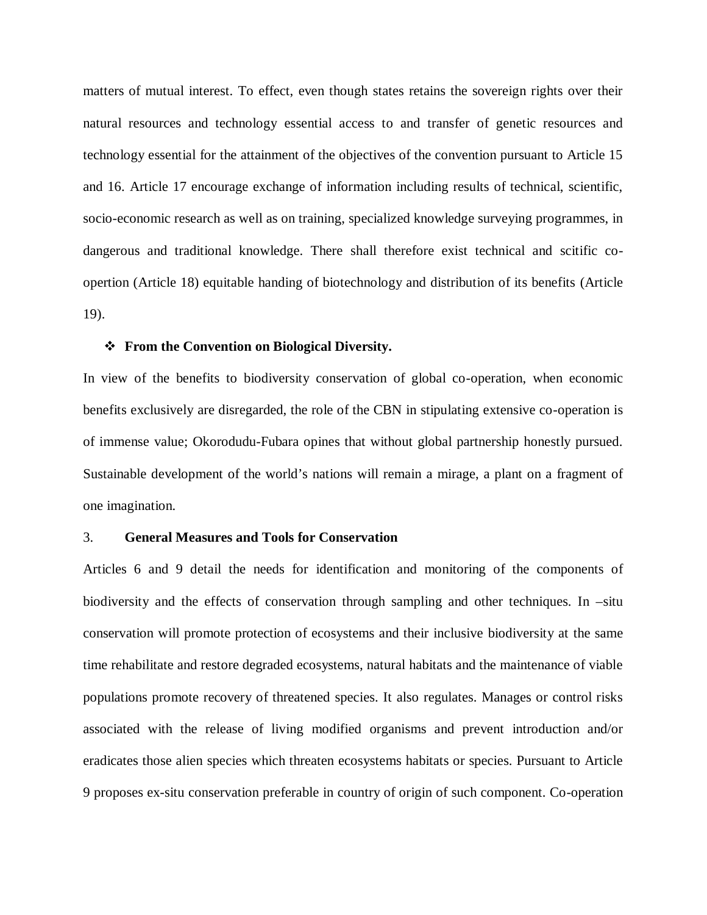matters of mutual interest. To effect, even though states retains the sovereign rights over their natural resources and technology essential access to and transfer of genetic resources and technology essential for the attainment of the objectives of the convention pursuant to Article 15 and 16. Article 17 encourage exchange of information including results of technical, scientific, socio-economic research as well as on training, specialized knowledge surveying programmes, in dangerous and traditional knowledge. There shall therefore exist technical and scitific coopertion (Article 18) equitable handing of biotechnology and distribution of its benefits (Article 19).

#### **From the Convention on Biological Diversity.**

In view of the benefits to biodiversity conservation of global co-operation, when economic benefits exclusively are disregarded, the role of the CBN in stipulating extensive co-operation is of immense value; Okorodudu-Fubara opines that without global partnership honestly pursued. Sustainable development of the world's nations will remain a mirage, a plant on a fragment of one imagination.

#### 3. **General Measures and Tools for Conservation**

Articles 6 and 9 detail the needs for identification and monitoring of the components of biodiversity and the effects of conservation through sampling and other techniques. In –situ conservation will promote protection of ecosystems and their inclusive biodiversity at the same time rehabilitate and restore degraded ecosystems, natural habitats and the maintenance of viable populations promote recovery of threatened species. It also regulates. Manages or control risks associated with the release of living modified organisms and prevent introduction and/or eradicates those alien species which threaten ecosystems habitats or species. Pursuant to Article 9 proposes ex-situ conservation preferable in country of origin of such component. Co-operation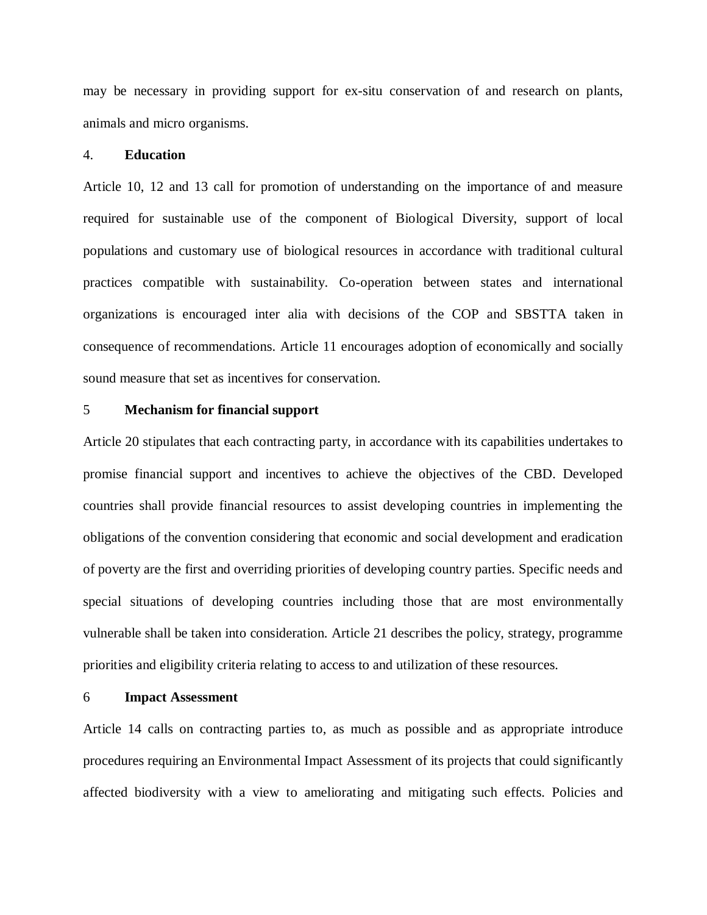may be necessary in providing support for ex-situ conservation of and research on plants, animals and micro organisms.

#### 4. **Education**

Article 10, 12 and 13 call for promotion of understanding on the importance of and measure required for sustainable use of the component of Biological Diversity, support of local populations and customary use of biological resources in accordance with traditional cultural practices compatible with sustainability. Co-operation between states and international organizations is encouraged inter alia with decisions of the COP and SBSTTA taken in consequence of recommendations. Article 11 encourages adoption of economically and socially sound measure that set as incentives for conservation.

#### 5 **Mechanism for financial support**

Article 20 stipulates that each contracting party, in accordance with its capabilities undertakes to promise financial support and incentives to achieve the objectives of the CBD. Developed countries shall provide financial resources to assist developing countries in implementing the obligations of the convention considering that economic and social development and eradication of poverty are the first and overriding priorities of developing country parties. Specific needs and special situations of developing countries including those that are most environmentally vulnerable shall be taken into consideration. Article 21 describes the policy, strategy, programme priorities and eligibility criteria relating to access to and utilization of these resources.

#### 6 **Impact Assessment**

Article 14 calls on contracting parties to, as much as possible and as appropriate introduce procedures requiring an Environmental Impact Assessment of its projects that could significantly affected biodiversity with a view to ameliorating and mitigating such effects. Policies and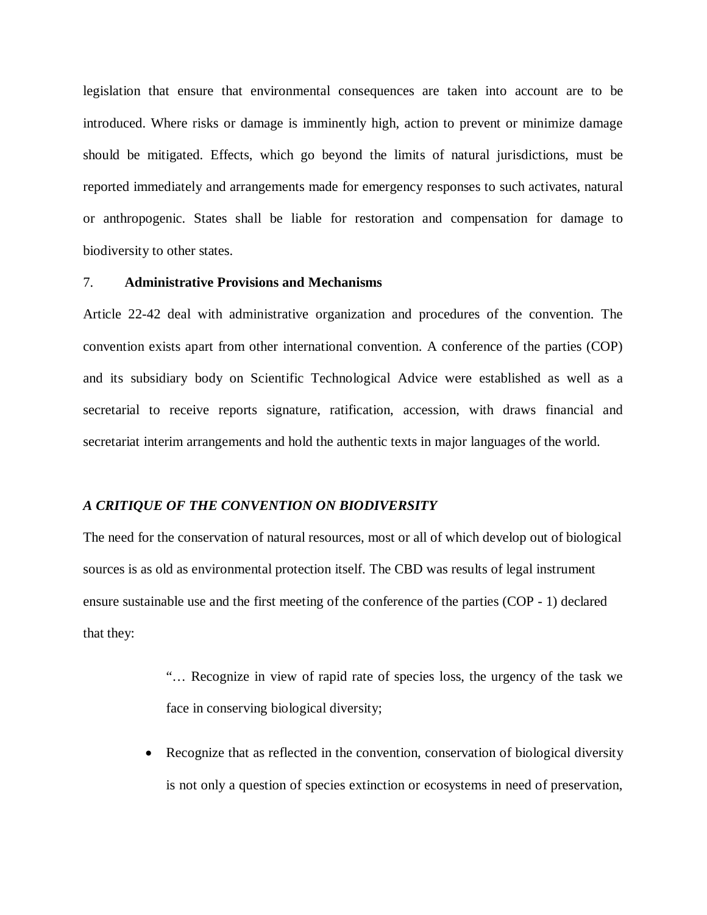legislation that ensure that environmental consequences are taken into account are to be introduced. Where risks or damage is imminently high, action to prevent or minimize damage should be mitigated. Effects, which go beyond the limits of natural jurisdictions, must be reported immediately and arrangements made for emergency responses to such activates, natural or anthropogenic. States shall be liable for restoration and compensation for damage to biodiversity to other states.

## 7. **Administrative Provisions and Mechanisms**

Article 22-42 deal with administrative organization and procedures of the convention. The convention exists apart from other international convention. A conference of the parties (COP) and its subsidiary body on Scientific Technological Advice were established as well as a secretarial to receive reports signature, ratification, accession, with draws financial and secretariat interim arrangements and hold the authentic texts in major languages of the world.

#### *A CRITIQUE OF THE CONVENTION ON BIODIVERSITY*

The need for the conservation of natural resources, most or all of which develop out of biological sources is as old as environmental protection itself. The CBD was results of legal instrument ensure sustainable use and the first meeting of the conference of the parties (COP - 1) declared that they:

> "… Recognize in view of rapid rate of species loss, the urgency of the task we face in conserving biological diversity;

 Recognize that as reflected in the convention, conservation of biological diversity is not only a question of species extinction or ecosystems in need of preservation,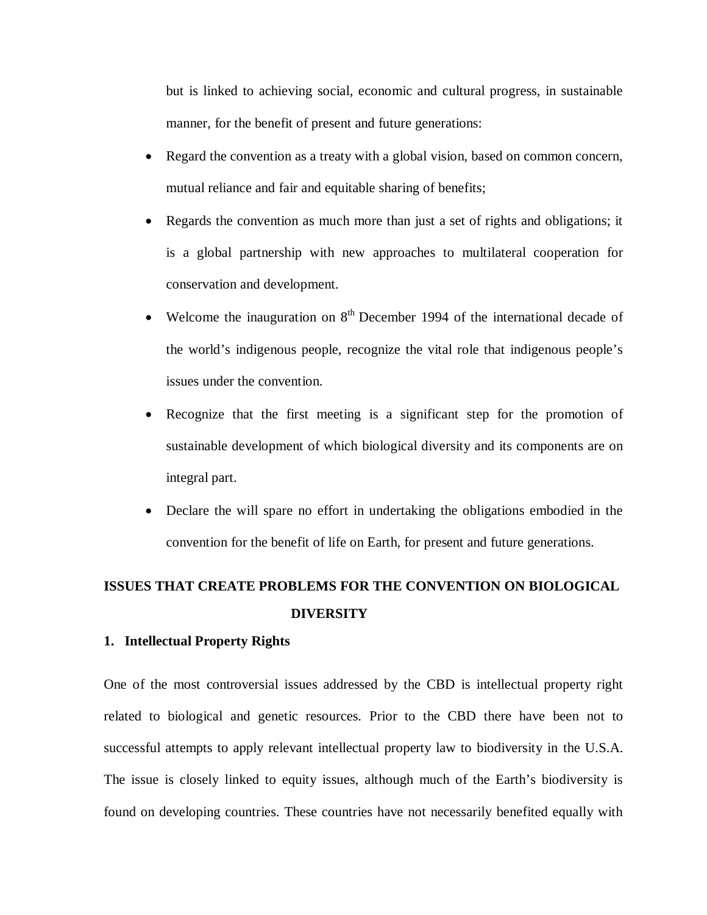but is linked to achieving social, economic and cultural progress, in sustainable manner, for the benefit of present and future generations:

- Regard the convention as a treaty with a global vision, based on common concern, mutual reliance and fair and equitable sharing of benefits;
- Regards the convention as much more than just a set of rights and obligations; it is a global partnership with new approaches to multilateral cooperation for conservation and development.
- Welcome the inauguration on  $8<sup>th</sup>$  December 1994 of the international decade of the world's indigenous people, recognize the vital role that indigenous people's issues under the convention.
- Recognize that the first meeting is a significant step for the promotion of sustainable development of which biological diversity and its components are on integral part.
- Declare the will spare no effort in undertaking the obligations embodied in the convention for the benefit of life on Earth, for present and future generations.

## **ISSUES THAT CREATE PROBLEMS FOR THE CONVENTION ON BIOLOGICAL DIVERSITY**

## **1. Intellectual Property Rights**

One of the most controversial issues addressed by the CBD is intellectual property right related to biological and genetic resources. Prior to the CBD there have been not to successful attempts to apply relevant intellectual property law to biodiversity in the U.S.A. The issue is closely linked to equity issues, although much of the Earth's biodiversity is found on developing countries. These countries have not necessarily benefited equally with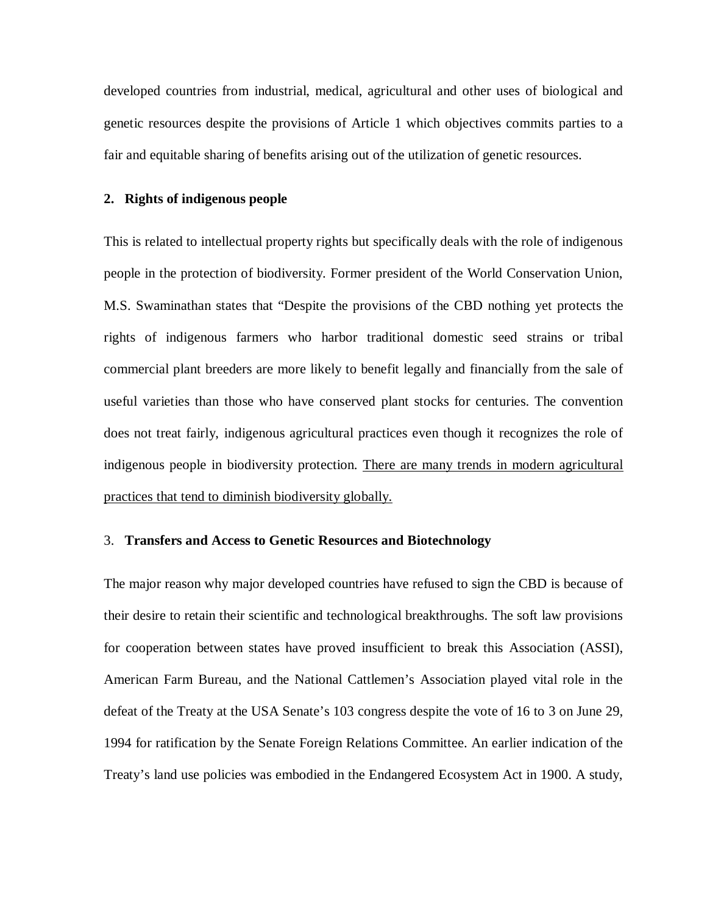developed countries from industrial, medical, agricultural and other uses of biological and genetic resources despite the provisions of Article 1 which objectives commits parties to a fair and equitable sharing of benefits arising out of the utilization of genetic resources.

#### **2. Rights of indigenous people**

This is related to intellectual property rights but specifically deals with the role of indigenous people in the protection of biodiversity. Former president of the World Conservation Union, M.S. Swaminathan states that "Despite the provisions of the CBD nothing yet protects the rights of indigenous farmers who harbor traditional domestic seed strains or tribal commercial plant breeders are more likely to benefit legally and financially from the sale of useful varieties than those who have conserved plant stocks for centuries. The convention does not treat fairly, indigenous agricultural practices even though it recognizes the role of indigenous people in biodiversity protection. There are many trends in modern agricultural practices that tend to diminish biodiversity globally.

### 3. **Transfers and Access to Genetic Resources and Biotechnology**

The major reason why major developed countries have refused to sign the CBD is because of their desire to retain their scientific and technological breakthroughs. The soft law provisions for cooperation between states have proved insufficient to break this Association (ASSI), American Farm Bureau, and the National Cattlemen's Association played vital role in the defeat of the Treaty at the USA Senate's 103 congress despite the vote of 16 to 3 on June 29, 1994 for ratification by the Senate Foreign Relations Committee. An earlier indication of the Treaty's land use policies was embodied in the Endangered Ecosystem Act in 1900. A study,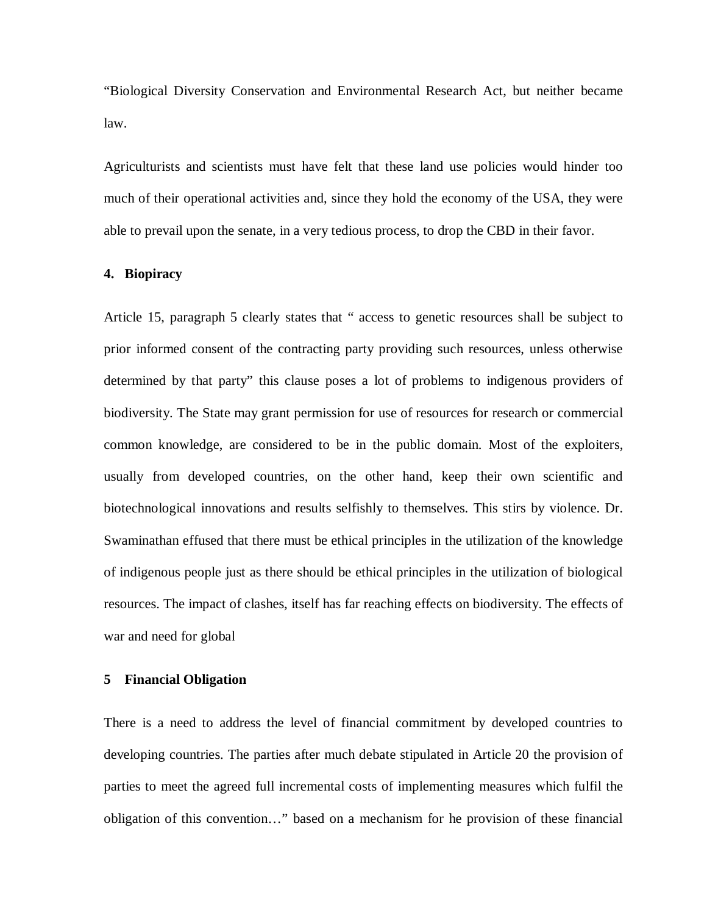"Biological Diversity Conservation and Environmental Research Act, but neither became law.

Agriculturists and scientists must have felt that these land use policies would hinder too much of their operational activities and, since they hold the economy of the USA, they were able to prevail upon the senate, in a very tedious process, to drop the CBD in their favor.

#### **4. Biopiracy**

Article 15, paragraph 5 clearly states that " access to genetic resources shall be subject to prior informed consent of the contracting party providing such resources, unless otherwise determined by that party" this clause poses a lot of problems to indigenous providers of biodiversity. The State may grant permission for use of resources for research or commercial common knowledge, are considered to be in the public domain. Most of the exploiters, usually from developed countries, on the other hand, keep their own scientific and biotechnological innovations and results selfishly to themselves. This stirs by violence. Dr. Swaminathan effused that there must be ethical principles in the utilization of the knowledge of indigenous people just as there should be ethical principles in the utilization of biological resources. The impact of clashes, itself has far reaching effects on biodiversity. The effects of war and need for global

#### **5 Financial Obligation**

There is a need to address the level of financial commitment by developed countries to developing countries. The parties after much debate stipulated in Article 20 the provision of parties to meet the agreed full incremental costs of implementing measures which fulfil the obligation of this convention…" based on a mechanism for he provision of these financial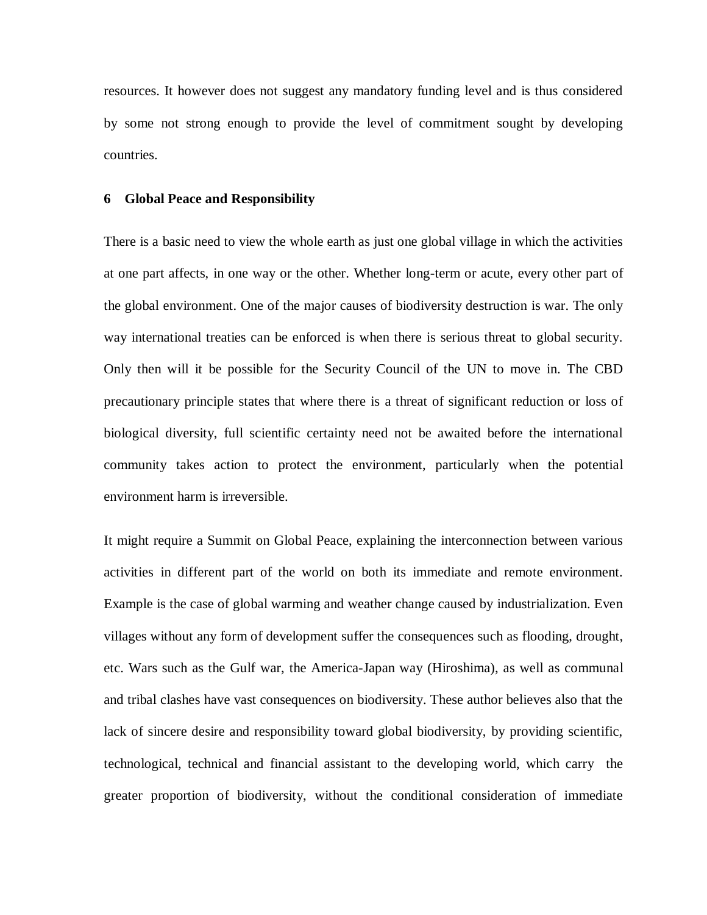resources. It however does not suggest any mandatory funding level and is thus considered by some not strong enough to provide the level of commitment sought by developing countries.

#### **6 Global Peace and Responsibility**

There is a basic need to view the whole earth as just one global village in which the activities at one part affects, in one way or the other. Whether long-term or acute, every other part of the global environment. One of the major causes of biodiversity destruction is war. The only way international treaties can be enforced is when there is serious threat to global security. Only then will it be possible for the Security Council of the UN to move in. The CBD precautionary principle states that where there is a threat of significant reduction or loss of biological diversity, full scientific certainty need not be awaited before the international community takes action to protect the environment, particularly when the potential environment harm is irreversible.

It might require a Summit on Global Peace, explaining the interconnection between various activities in different part of the world on both its immediate and remote environment. Example is the case of global warming and weather change caused by industrialization. Even villages without any form of development suffer the consequences such as flooding, drought, etc. Wars such as the Gulf war, the America-Japan way (Hiroshima), as well as communal and tribal clashes have vast consequences on biodiversity. These author believes also that the lack of sincere desire and responsibility toward global biodiversity, by providing scientific, technological, technical and financial assistant to the developing world, which carry the greater proportion of biodiversity, without the conditional consideration of immediate